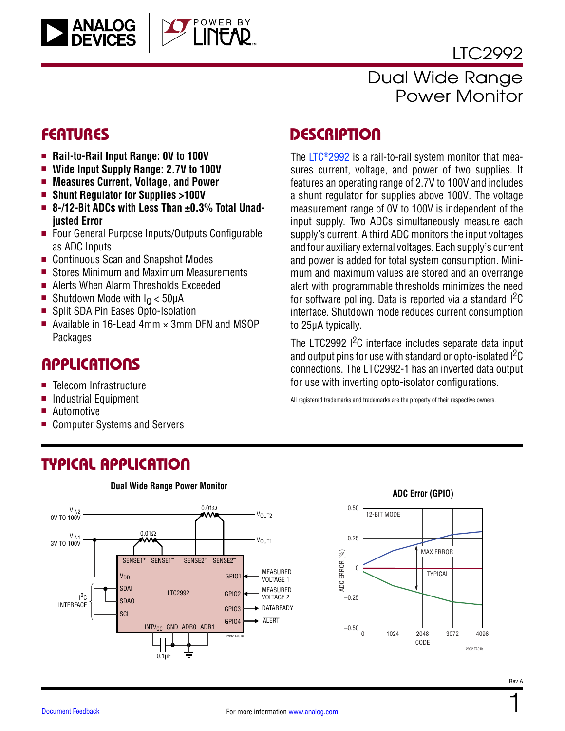

# Dual Wide Range Power Monitor

**ANALOG**<br>DEVICES

- $\blacksquare$  Rail-to-Rail Input Range: 0V to 100V
- Wide Input Supply Range: 2.7V to 100V
- <sup>n</sup> **Measures Current, Voltage, and Power**
- <sup>n</sup> **Shunt Regulator for Supplies >100V**
- 8-/12-Bit ADCs with Less Than ±0.3% Total Unad**justed Error**

OWER BY

- Four General Purpose Inputs/Outputs Configurable as ADC Inputs
- Continuous Scan and Snapshot Modes
- Stores Minimum and Maximum Measurements
- Alerts When Alarm Thresholds Exceeded
- Shutdown Mode with  $I<sub>0</sub> < 50 \mu A$
- Split SDA Pin Eases Opto-Isolation
- Available in 16-Lead 4mm  $\times$  3mm DFN and MSOP **Packages**

### **APPLICATIONS**

- Telecom Infrastructure
- Industrial Equipment
- **Automotive**
- Computer Systems and Servers

### FEATURES DESCRIPTION

The [LTC®2992](http://www.analog.com/LTC2992?doc=LTC2992.pdf) is a rail-to-rail system monitor that measures current, voltage, and power of two supplies. It features an operating range of 2.7V to 100V and includes a shunt regulator for supplies above 100V. The voltage measurement range of 0V to 100V is independent of the input supply. Two ADCs simultaneously measure each supply's current. A third ADC monitors the input voltages and four auxiliary external voltages. Each supply's current and power is added for total system consumption. Minimum and maximum values are stored and an overrange alert with programmable thresholds minimizes the need for software polling. Data is reported via a standard <sup>12</sup>C interface. Shutdown mode reduces current consumption to 25μA typically.

The LTC2992 <sup>2</sup>C interface includes separate data input and output pins for use with standard or opto-isolated  $1^2C$ connections. The LTC2992-1 has an inverted data output for use with inverting opto-isolator configurations.

All registered trademarks and trademarks are the property of their respective owners.

# TYPICAL APPLICATION





1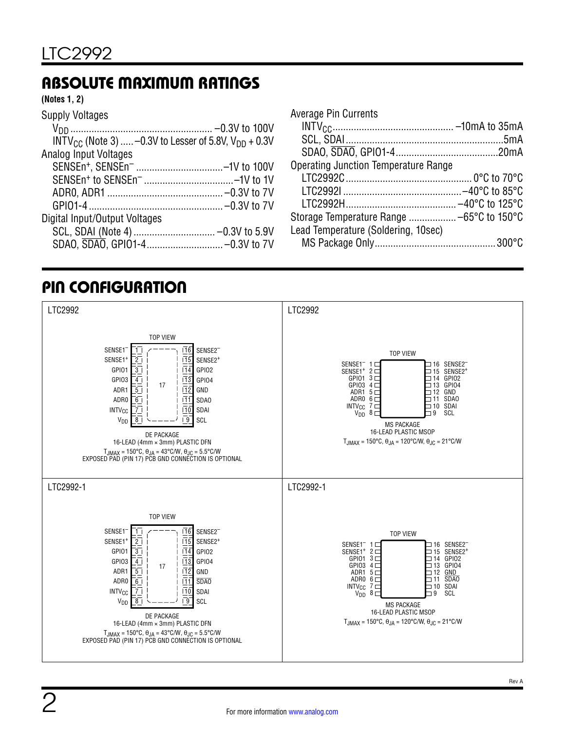# ABSOLUTE MAXIMUM RATINGS

#### **(Notes 1, 2)**

| <b>Supply Voltages</b>                                         |  |
|----------------------------------------------------------------|--|
|                                                                |  |
| $INTV_{CC}$ (Note 3)  -0.3V to Lesser of 5.8V, $V_{DD}$ + 0.3V |  |
| <b>Analog Input Voltages</b>                                   |  |
| SENSEn <sup>+</sup> , SENSEn <sup>-</sup> -1V to 100V          |  |
|                                                                |  |
|                                                                |  |
|                                                                |  |
| Digital Input/Output Voltages                                  |  |
|                                                                |  |
|                                                                |  |

| Average Pin Currents                        |  |
|---------------------------------------------|--|
|                                             |  |
|                                             |  |
|                                             |  |
| <b>Operating Junction Temperature Range</b> |  |
|                                             |  |
|                                             |  |
|                                             |  |
| Storage Temperature Range  -65°C to 150°C   |  |
| Lead Temperature (Soldering, 10sec)         |  |
|                                             |  |

# PIN CONFIGURATION

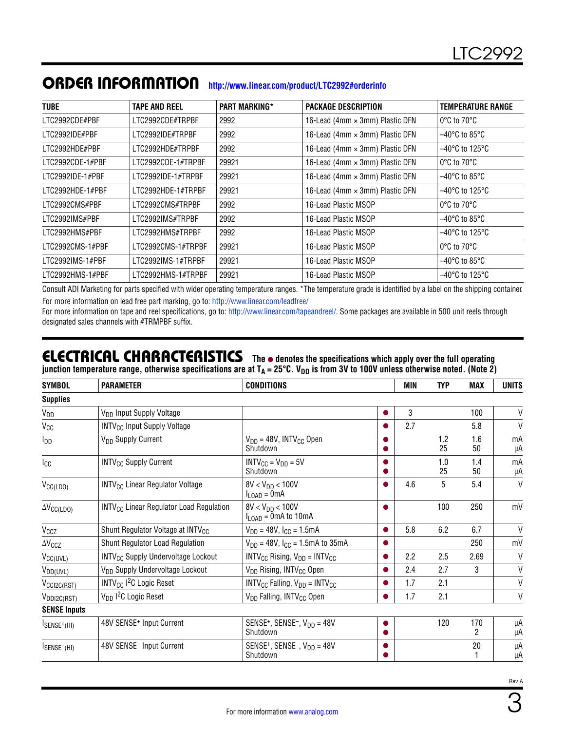| <b>TUBE</b>      | <b>TAPE AND REEL</b> | <b>PART MARKING*</b> | <b>PACKAGE DESCRIPTION</b>      | <b>TEMPERATURE RANGE</b>            |
|------------------|----------------------|----------------------|---------------------------------|-------------------------------------|
| LTC2992CDE#PBF   | LTC2992CDE#TRPBF     | 2992                 | 16-Lead (4mm × 3mm) Plastic DFN | $0^{\circ}$ C to 70 $^{\circ}$ C    |
| LTC2992IDE#PBF   | LTC2992IDE#TRPBF     | 2992                 | 16-Lead (4mm × 3mm) Plastic DFN | $-40^{\circ}$ C to 85°C $^{\circ}$  |
| LTC2992HDE#PBF   | LTC2992HDE#TRPBF     | 2992                 | 16-Lead (4mm × 3mm) Plastic DFN | $-40^{\circ}$ C to 125 $^{\circ}$ C |
| LTC2992CDE-1#PBF | LTC2992CDE-1#TRPBF   | 29921                | 16-Lead (4mm × 3mm) Plastic DFN | $0^{\circ}$ C to $70^{\circ}$ C     |
| LTC2992IDE-1#PBF | LTC2992IDE-1#TRPBF   | 29921                | 16-Lead (4mm × 3mm) Plastic DFN | $-40^{\circ}$ C to 85 $^{\circ}$ C  |
| LTC2992HDE-1#PBF | LTC2992HDE-1#TRPBF   | 29921                | 16-Lead (4mm × 3mm) Plastic DFN | $-40^{\circ}$ C to 125 $^{\circ}$ C |
| LTC2992CMS#PBF   | LTC2992CMS#TRPBF     | 2992                 | 16-Lead Plastic MSOP            | $0^{\circ}$ C to $70^{\circ}$ C     |
| LTC2992IMS#PBF   | LTC2992IMS#TRPBF     | 2992                 | 16-Lead Plastic MSOP            | $-40^{\circ}$ C to 85 $^{\circ}$ C  |
| LTC2992HMS#PBF   | LTC2992HMS#TRPBF     | 2992                 | 16-Lead Plastic MSOP            | $-40^{\circ}$ C to 125 $^{\circ}$ C |
| LTC2992CMS-1#PBF | LTC2992CMS-1#TRPBF   | 29921                | 16-Lead Plastic MSOP            | $0^{\circ}$ C to 70 $^{\circ}$ C    |
| LTC2992IMS-1#PBF | LTC2992IMS-1#TRPBF   | 29921                | 16-Lead Plastic MSOP            | $-40^{\circ}$ C to 85 $^{\circ}$ C  |
| LTC2992HMS-1#PBF | LTC2992HMS-1#TRPBF   | 29921                | 16-Lead Plastic MSOP            | $-40^{\circ}$ C to 125 $^{\circ}$ C |

#### ORDER INFORMATION **<http://www.linear.com/product/LTC2992#orderinfo>**

Consult ADI Marketing for parts specified with wider operating temperature ranges. \*The temperature grade is identified by a label on the shipping container. For more information on lead free part marking, go to:<http://www.linear.com/leadfree/>

For more information on tape and reel specifications, go to: <http://www.linear.com/tapeandreel/>. Some packages are available in 500 unit reels through designated sales channels with #TRMPBF suffix.

#### **ELECTRICAL CHARACTERISTICS** The  $\bullet$  denotes the specifications which apply over the full operating junction temperature range, otherwise specifications are at T<sub>A</sub> = 25°C. V<sub>DD</sub> is from 3V to 100V unless otherwise noted. (Note 2)

| <b>SYMBOL</b>               | <b>PARAMETER</b>                                          | <b>CONDITIONS</b>                                                    |                | <b>MIN</b> | <b>TYP</b> | MAX       | <b>UNITS</b> |
|-----------------------------|-----------------------------------------------------------|----------------------------------------------------------------------|----------------|------------|------------|-----------|--------------|
| <b>Supplies</b>             |                                                           |                                                                      |                |            |            |           |              |
| V <sub>DD</sub>             | V <sub>DD</sub> Input Supply Voltage                      |                                                                      | $\bullet$      | 3          |            | 100       | V            |
| Vcc                         | <b>INTV<sub>CC</sub></b> Input Supply Voltage             |                                                                      |                | 2.7        |            | 5.8       | $\mathsf{V}$ |
| <b>I</b> <sub>DD</sub>      | V <sub>DD</sub> Supply Current                            | $V_{DD} = 48V$ , INTV <sub>CC</sub> Open<br>Shutdown                 |                |            | 1.2<br>25  | 1.6<br>50 | mA<br>μA     |
| $I_{\rm CC}$                | <b>INTV<sub>CC</sub></b> Supply Current                   | $INTV_{CC} = V_{DD} = 5V$<br>Shutdown                                | ●              |            | 1.0<br>25  | 1.4<br>50 | mA<br>μA     |
| $V_{CC(LDO)}$               | <b>INTV<sub>CC</sub></b> Linear Regulator Voltage         | $8V < V_{DD} < 100V$<br>$I_{LOAD} = 0mA$                             | ●              | 4.6        | 5          | 5.4       | $\mathsf{V}$ |
| $\Delta V_{CC(LDO)}$        | <b>INTV<sub>CC</sub></b> Linear Regulator Load Regulation | $8V < V_{DD} < 100V$<br>$I_{LOAD} = 0 \text{mA}$ to 10mA             | O              |            | 100        | 250       | mV           |
| $V_{CCZ}$                   | Shunt Regulator Voltage at INTV <sub>CC</sub>             | $V_{DD} = 48V$ , $I_{CC} = 1.5mA$                                    |                | 5.8        | 6.2        | 6.7       | $\mathsf{V}$ |
| $\Delta V_{CCZ}$            | Shunt Regulator Load Regulation                           | $V_{DD} = 48V$ , $I_{CG} = 1.5mA$ to 35mA                            | $\bullet$      |            |            | 250       | mV           |
| V <sub>CC(UVL)</sub>        | <b>INTV<sub>CC</sub></b> Supply Undervoltage Lockout      | $INTV_{CC}$ Rising, $V_{DD} = INTV_{CC}$                             |                | 2.2        | 2.5        | 2.69      | V            |
| $V_{DD(UVL)}$               | V <sub>DD</sub> Supply Undervoltage Lockout               | V <sub>DD</sub> Rising, INTV <sub>CC</sub> Open                      | ●              | 2.4        | 2.7        | 3         | V            |
| V <sub>CCI2C(RST)</sub>     | INTV <sub>CC</sub> I <sup>2</sup> C Logic Reset           | $INTV_{CC}$ Falling, $V_{DD} = INTV_{CC}$                            |                | 1.7        | 2.1        |           | V            |
| $V_{DDI2C(RST)}$            | V <sub>DD</sub> I <sup>2</sup> C Logic Reset              | V <sub>DD</sub> Falling, INTV <sub>CC</sub> Open                     |                | 1.7        | 2.1        |           | V            |
| <b>SENSE Inputs</b>         |                                                           |                                                                      |                |            |            |           |              |
| $I$ SENSE <sup>+</sup> (HI) | 48V SENSE <sup>+</sup> Input Current                      | SENSE <sup>+</sup> , SENSE <sup>-</sup> , $V_{DD}$ = 48V<br>Shutdown | $\bullet$<br>O |            | 120        | 170<br>2  | μA<br>μA     |
| ISENSE <sup>-</sup> (HI)    | 48V SENSE <sup>-</sup> Input Current                      | SENSE <sup>+</sup> , SENSE <sup>-</sup> , $V_{DD}$ = 48V<br>Shutdown |                |            |            | 20        | μA<br>μA     |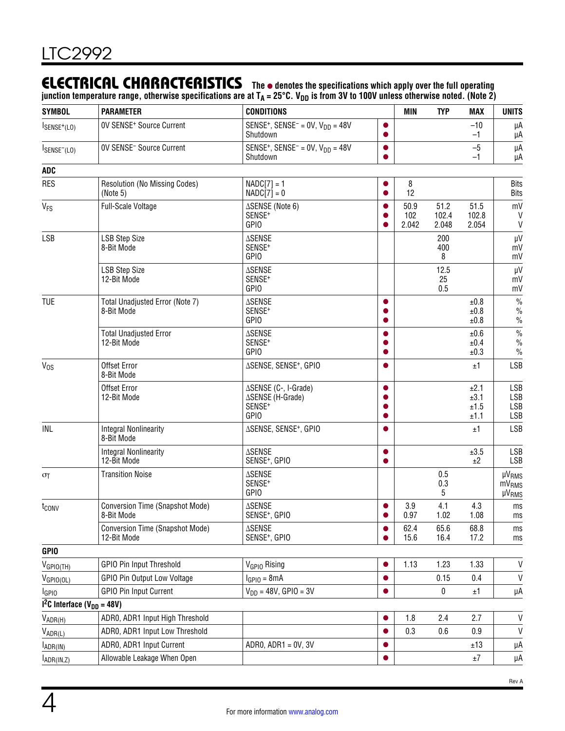### **ELECTRICAL CHARACTERISTICS** The  $\bullet$  denotes the specifications which apply over the full operating

junction temperature range, otherwise specifications are at T<sub>A</sub> = 25°C. V<sub>DD</sub> is from 3V to 100V unless otherwise noted. (Note 2)

| <b>SYMBOL</b>                           | <b>PARAMETER</b>                                      | <b>CONDITIONS</b>                                                             |           | <b>MIN</b>           | <b>TYP</b>             | <b>MAX</b>                   | <b>UNITS</b>                                       |
|-----------------------------------------|-------------------------------------------------------|-------------------------------------------------------------------------------|-----------|----------------------|------------------------|------------------------------|----------------------------------------------------|
| $I_{SENSE^{+}(LO)}$                     | OV SENSE <sup>+</sup> Source Current                  | SENSE <sup>+</sup> , SENSE <sup>-</sup> = 0V, $V_{DD}$ = 48V<br>Shutdown      | ●         |                      |                        | $-10$<br>$-1$                | μA<br>μA                                           |
| $I_{SENSE^{-}(LO)}$                     | OV SENSE <sup>-</sup> Source Current                  | SENSE <sup>+</sup> , SENSE <sup>-</sup> = $0V$ , $V_{DD}$ = 48V<br>Shutdown   | $\bullet$ |                      |                        | $-5$<br>$-1$                 | μA<br>μA                                           |
| ADC                                     |                                                       |                                                                               |           |                      |                        |                              |                                                    |
| <b>RES</b>                              | Resolution (No Missing Codes)<br>(Note 5)             | $NADC[7] = 1$<br>$NADC[7] = 0$                                                | $\bullet$ | 8<br>12              |                        |                              | <b>Bits</b><br><b>Bits</b>                         |
| <b>V<sub>FS</sub></b>                   | Full-Scale Voltage                                    | ∆SENSE (Note 6)<br>SENSE <sup>+</sup><br><b>GPIO</b>                          |           | 50.9<br>102<br>2.042 | 51.2<br>102.4<br>2.048 | 51.5<br>102.8<br>2.054       | mV<br>V<br>V                                       |
| <b>LSB</b>                              | <b>LSB Step Size</b><br>8-Bit Mode                    | <b>ASENSE</b><br>SENSE <sup>+</sup><br><b>GPIO</b>                            |           |                      | 200<br>400<br>8        |                              | μV<br>mV<br>mV                                     |
|                                         | <b>LSB Step Size</b><br>12-Bit Mode                   | <b>ASENSE</b><br>SENSE <sup>+</sup><br><b>GPIO</b>                            |           |                      | 12.5<br>25<br>0.5      |                              | μV<br>mV<br>mV                                     |
| <b>TUE</b>                              | Total Unadjusted Error (Note 7)<br>8-Bit Mode         | <b>ASENSE</b><br>SENSE <sup>+</sup><br>GPIO                                   |           |                      |                        | ±0.8<br>±0.8<br>±0.8         | $\%$<br>$\frac{0}{0}$<br>$\%$                      |
|                                         | <b>Total Unadjusted Error</b><br>12-Bit Mode          | <b>ASENSE</b><br>SENSE <sup>+</sup><br><b>GPIO</b>                            |           |                      |                        | ±0.6<br>±0.4<br>±0.3         | $\%$<br>$\frac{0}{0}$<br>$\%$                      |
| $V_{OS}$                                | Offset Error<br>8-Bit Mode                            | ∆SENSE, SENSE <sup>+</sup> , GPIO                                             |           |                      |                        | ±1                           | <b>LSB</b>                                         |
|                                         | Offset Error<br>12-Bit Mode                           | ∆SENSE (C-, I-Grade)<br>∆SENSE (H-Grade)<br>SENSE <sup>+</sup><br><b>GPIO</b> | $\bullet$ |                      |                        | ±2.1<br>±3.1<br>±1.5<br>±1.1 | <b>LSB</b><br><b>LSB</b><br>LSB<br><b>LSB</b>      |
| INL                                     | <b>Integral Nonlinearity</b><br>8-Bit Mode            | ∆SENSE, SENSE <sup>+</sup> , GPIO                                             |           |                      |                        | ±1                           | <b>LSB</b>                                         |
|                                         | <b>Integral Nonlinearity</b><br>12-Bit Mode           | <b>ASENSE</b><br>SENSE <sup>+</sup> , GPIO                                    | ●         |                      |                        | ±3.5<br>±2                   | <b>LSB</b><br><b>LSB</b>                           |
| $\sigma$ T                              | <b>Transition Noise</b>                               | <b>ASENSE</b><br>SENSE <sup>+</sup><br><b>GPIO</b>                            |           |                      | 0.5<br>0.3<br>5        |                              | <b>µVRMS</b><br>mV <sub>RMS</sub><br>$\mu V_{RMS}$ |
| t <sub>conv</sub>                       | Conversion Time (Snapshot Mode)<br>8-Bit Mode         | <b>ASENSE</b><br>SENSE <sup>+</sup> , GPIO                                    |           | 3.9<br>0.97          | 4.1<br>1.02            | 4.3<br>1.08                  | ms<br>ms                                           |
|                                         | <b>Conversion Time (Snapshot Mode)</b><br>12-Bit Mode | <b>ASENSE</b><br>SENSE <sup>+</sup> , GPIO                                    |           | 62.4<br>15.6         | 65.6<br>16.4           | 68.8<br>17.2                 | ms<br>ms                                           |
| <b>GPIO</b>                             |                                                       |                                                                               |           |                      |                        |                              |                                                    |
| $V_{GPIO(TH)}$                          | <b>GPIO Pin Input Threshold</b>                       | V <sub>GPIO</sub> Rising                                                      | ●         | 1.13                 | 1.23                   | 1.33                         | $\mathsf{V}$                                       |
| $V_{GPIO(OL)}$                          | <b>GPIO Pin Output Low Voltage</b>                    | $IGPIO = 8mA$                                                                 |           |                      | 0.15                   | 0.4                          | $\mathsf{V}$                                       |
| <b>I</b> GPIO                           | <b>GPIO Pin Input Current</b>                         | $V_{DD} = 48V$ , GPIO = 3V                                                    | ●         |                      | $\pmb{0}$              | ±1                           | μA                                                 |
| $12C$ Interface (V <sub>DD</sub> = 48V) |                                                       |                                                                               |           |                      |                        |                              |                                                    |
| $V_{ADR(H)}$                            | ADR0, ADR1 Input High Threshold                       |                                                                               | ●         | 1.8                  | 2.4                    | 2.7                          | V                                                  |
| $V_{ADR(L)}$                            | ADR0, ADR1 Input Low Threshold                        |                                                                               |           | 0.3                  | 0.6                    | 0.9                          | V                                                  |
| $I_{\text{ADR(IN)}}$                    | ADR0, ADR1 Input Current                              | ADRO, $ADR1 = 0V$ , $3V$                                                      |           |                      |                        | ±13                          | μA                                                 |
| $I_{\text{ADR}(\text{IN},\text{Z})}$    | Allowable Leakage When Open                           |                                                                               |           |                      |                        | $\pm 7$                      | μA                                                 |

Rev A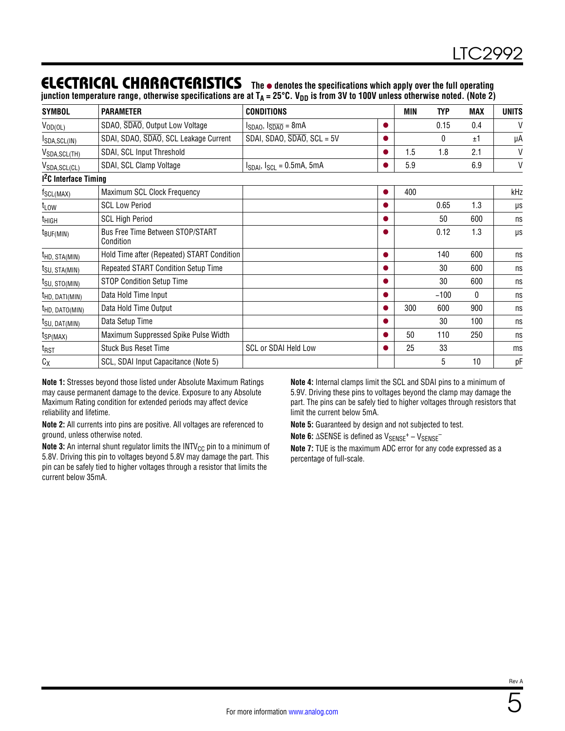### **ELECTRICAL CHARACTERISTICS** The  $\bullet$  denotes the specifications which apply over the full operating

junction temperature range, otherwise specifications are at T<sub>A</sub> = 25°C. V<sub>DD</sub> is from 3V to 100V unless otherwise noted. (Note 2)

| <b>SYMBOL</b>                   | <b>PARAMETER</b>                              | <b>CONDITIONS</b>                        |           | MIN | <b>TYP</b> | <b>MAX</b>   | <b>UNITS</b> |
|---------------------------------|-----------------------------------------------|------------------------------------------|-----------|-----|------------|--------------|--------------|
| $V_{OD(OL)}$                    | SDAO, SDAO, Output Low Voltage                | $I_{SDAO}$ , $I_{\overline{SDAO}} = 8mA$ | $\bullet$ |     | 0.15       | 0.4          | $\vee$       |
| ISDA, SCL(IN)                   | SDAI, SDAO, SDAO, SCL Leakage Current         | SDAI, SDAO, $\overline{SDAO}$ , SCL = 5V |           |     | 0          | ±1           | μA           |
| V <sub>SDA,SCL(TH)</sub>        | SDAI, SCL Input Threshold                     |                                          | 0         | 1.5 | 1.8        | 2.1          | V            |
| VSDA, SCL(CL)                   | SDAI, SCL Clamp Voltage                       | $I_{SDAI}$ , $I_{SCL} = 0.5$ mA, 5mA     |           | 5.9 |            | 6.9          | V            |
| <sup>2</sup> C Interface Timing |                                               |                                          |           |     |            |              |              |
| <sup>T</sup> SCL(MAX)           | Maximum SCL Clock Frequency                   |                                          | ●         | 400 |            |              | kHz          |
| t <sub>LOW</sub>                | <b>SCL Low Period</b>                         |                                          |           |     | 0.65       | 1.3          | μs           |
| t <sub>HIGH</sub>               | <b>SCL High Period</b>                        |                                          | ●         |     | 50         | 600          | ns           |
| $t_{\text{BUF(MIN)}}$           | Bus Free Time Between STOP/START<br>Condition |                                          | o         |     | 0.12       | 1.3          | μs           |
| <sup>t</sup> HD, STA(MIN)       | Hold Time after (Repeated) START Condition    |                                          | $\bullet$ |     | 140        | 600          | ns           |
| <sup>I</sup> SU, STA(MIN)       | Repeated START Condition Setup Time           |                                          | 0         |     | 30         | 600          | ns           |
| t <sub>SU, STO(MIN)</sub>       | <b>STOP Condition Setup Time</b>              |                                          | ●         |     | 30         | 600          | ns           |
| <sup>t</sup> HD, DATI(MIN)      | Data Hold Time Input                          |                                          | O         |     | $-100$     | $\mathbf{0}$ | ns           |
| <sup>t</sup> HD, DATO(MIN)      | Data Hold Time Output                         |                                          | ●         | 300 | 600        | 900          | ns           |
| <sup>t</sup> SU, DAT(MIN)       | Data Setup Time                               |                                          |           |     | 30         | 100          | ns           |
| t <sub>SP(MAX)</sub>            | Maximum Suppressed Spike Pulse Width          |                                          |           | 50  | 110        | 250          | ns           |
| t <sub>RST</sub>                | <b>Stuck Bus Reset Time</b>                   | <b>SCL or SDAI Held Low</b>              |           | 25  | 33         |              | ms           |
| $C_X$                           | SCL, SDAI Input Capacitance (Note 5)          |                                          |           |     | 5          | 10           | pF           |

**Note 1:** Stresses beyond those listed under Absolute Maximum Ratings may cause permanent damage to the device. Exposure to any Absolute Maximum Rating condition for extended periods may affect device reliability and lifetime.

**Note 2:** All currents into pins are positive. All voltages are referenced to ground, unless otherwise noted.

**Note 3:** An internal shunt regulator limits the INTV<sub>CC</sub> pin to a minimum of 5.8V. Driving this pin to voltages beyond 5.8V may damage the part. This pin can be safely tied to higher voltages through a resistor that limits the current below 35mA.

**Note 4:** Internal clamps limit the SCL and SDAI pins to a minimum of 5.9V. Driving these pins to voltages beyond the clamp may damage the part. The pins can be safely tied to higher voltages through resistors that limit the current below 5mA.

**Note 5:** Guaranteed by design and not subjected to test.

Note 6: ∆SENSE is defined as V<sub>SENSE</sub><sup>+</sup> – V<sub>SENSE</sub><sup>-</sup>

**Note 7:** TUE is the maximum ADC error for any code expressed as a percentage of full-scale.

5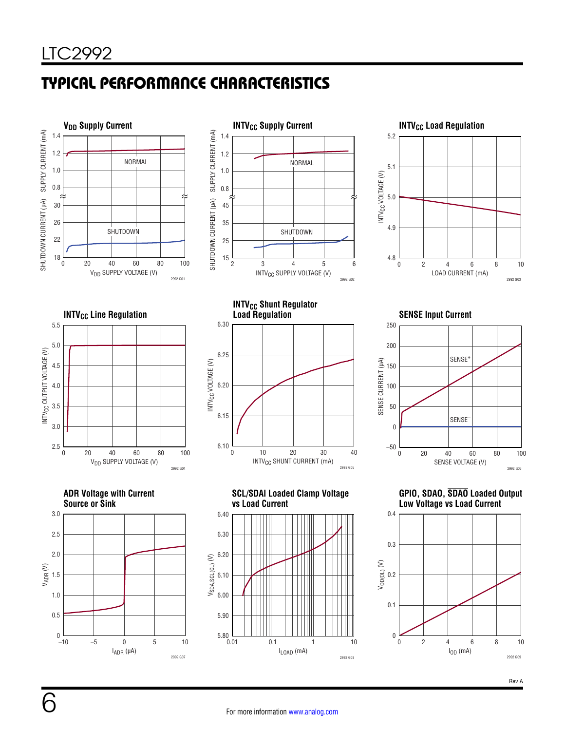# TYPICAL PERFORMANCE CHARACTERISTICS

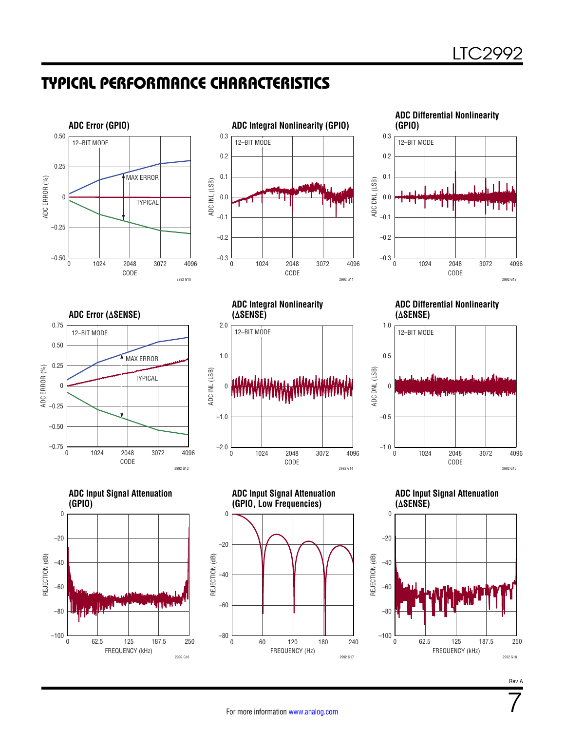### TYPICAL PERFORMANCE CHARACTERISTICS







**ADC Error (∆SENSE)**





**ADC Integral Nonlinearity (∆SENSE)** 0 1.0 2.0 12–BIT MODE



**ADC Input Signal Attenuation (GPIO, Low Frequencies)**

**ADC Differential Nonlinearity (∆SENSE)**



**ADC Input Signal Attenuation (∆SENSE)**



Rev A

7

FREQUENCY (Hz) 0 60 120 180 240

2992 G17

 $-80\frac{L}{0}$ 

–60

–40

REJECTION (dB)

REJECTION (dB)

ADC INL (LSB)

ADC INL (LSB)

–20

0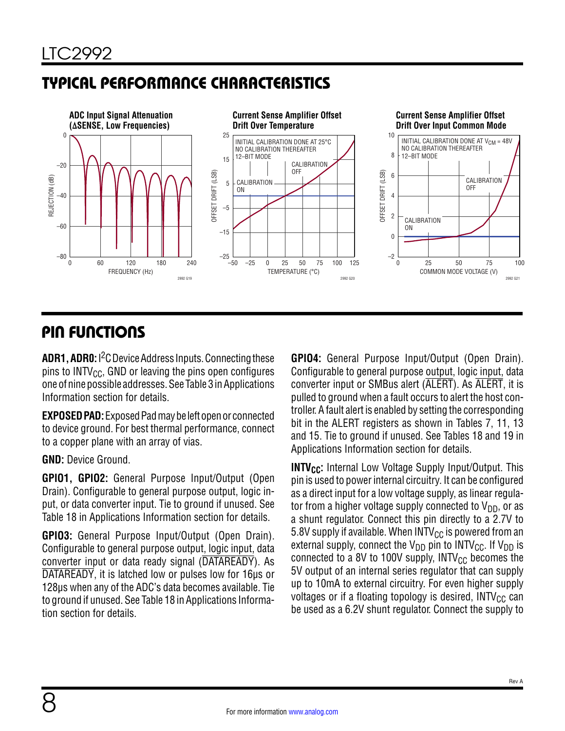# TYPICAL PERFORMANCE CHARACTERISTICS



# PIN FUNCTIONS

**ADR1, ADR0:** I2C Device Address Inputs. Connecting these pins to  $INTV_{CC}$ , GND or leaving the pins open configures one of nine possible addresses. See [Table 3](#page--1-0) in [Applications](#page--1-1)  [Information](#page--1-1) section for details.

**EXPOSED PAD:** Exposed Pad may be left open or connected to device ground. For best thermal performance, connect to a copper plane with an array of vias.

**GND:** Device Ground.

**GPIO1, GPIO2:** General Purpose Input/Output (Open Drain). Configurable to general purpose output, logic input, or data converter input. Tie to ground if unused. See [Table 18](#page--1-2) in [Applications Information](#page--1-1) section for details.

**GPIO3:** General Purpose Input/Output (Open Drain). Configurable to general purpose output, logic input, data converter input or data ready signal (DATAREADY). As DATAREADY, it is latched low or pulses low for 16µs or 128µs when any of the ADC's data becomes available. Tie to ground if unused. See [Table 18](#page--1-2) in Applications Information section for details.

**GPIO4:** General Purpose Input/Output (Open Drain). Configurable to general purpose output, logic input, data converter input or SMBus alert (ALERT). As ALERT, it is pulled to ground when a fault occurs to alert the host controller. A fault alert is enabled by setting the corresponding bit in the ALERT registers as shown in Tables 7, [11,](#page--1-3) [13](#page--1-4)  and 15. Tie to ground if unused. See Tables 18 and [19](#page--1-5) in [Applications Information](#page--1-1) section for details.

**INTV<sub>CC</sub>:** Internal Low Voltage Supply Input/Output. This pin is used to power internal circuitry. It can be configured as a direct input for a low voltage supply, as linear regulator from a higher voltage supply connected to  $V_{DD}$ , or as a shunt regulator. Connect this pin directly to a 2.7V to 5.8V supply if available. When INTV $_{CC}$  is powered from an external supply, connect the  $V_{DD}$  pin to INTV<sub>CC</sub>. If V<sub>DD</sub> is connected to a 8V to 100V supply,  $INTV_{CC}$  becomes the 5V output of an internal series regulator that can supply up to 10mA to external circuitry. For even higher supply voltages or if a floating topology is desired,  $INTV_{CC}$  can be used as a 6.2V shunt regulator. Connect the supply to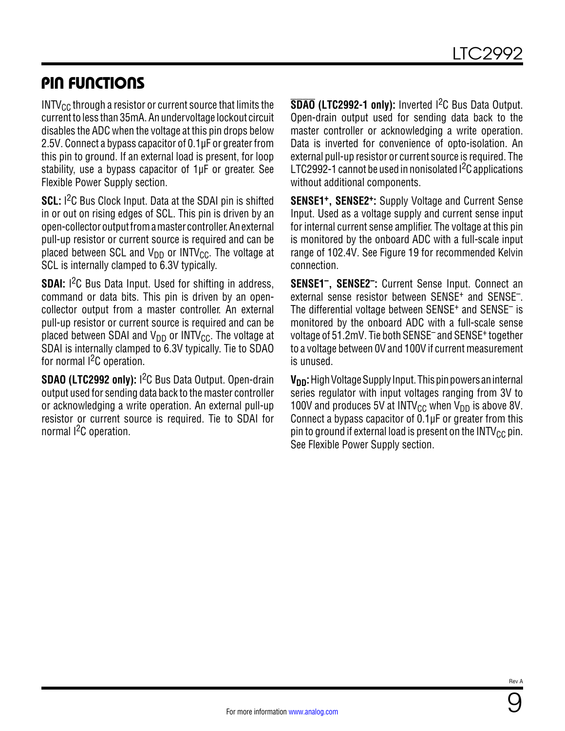### PIN FUNCTIONS

 $INTV_{CC}$  through a resistor or current source that limits the current to less than 35mA. An undervoltage lockout circuit disables the ADC when the voltage at this pin drops below 2.5V. Connect a bypass capacitor of 0.1µF or greater from this pin to ground. If an external load is present, for loop stability, use a bypass capacitor of 1µF or greater. See Flexible Power Supply section.

**SCL:** I<sup>2</sup>C Bus Clock Input. Data at the SDAI pin is shifted in or out on rising edges of SCL. This pin is driven by an open-collector output from a master controller. An external pull-up resistor or current source is required and can be placed between SCL and  $V_{DD}$  or INTV<sub>CC</sub>. The voltage at SCL is internally clamped to 6.3V typically.

**SDAI:** I<sup>2</sup>C Bus Data Input. Used for shifting in address, command or data bits. This pin is driven by an opencollector output from a master controller. An external pull-up resistor or current source is required and can be placed between SDAI and  $V_{DD}$  or INTV<sub>CC</sub>. The voltage at SDAI is internally clamped to 6.3V typically. Tie to SDAO for normal  $1<sup>2</sup>C$  operation.

**SDAO (LTC2992 only):** I<sup>2</sup>C Bus Data Output. Open-drain output used for sending data back to the master controller or acknowledging a write operation. An external pull-up resistor or current source is required. Tie to SDAI for normal I<sup>2</sup>C operation.

**SDAO (LTC2992-1 only):** Inverted I2C Bus Data Output. Open-drain output used for sending data back to the master controller or acknowledging a write operation. Data is inverted for convenience of opto-isolation. An external pull-up resistor or current source is required. The LTC2992-1 cannot be used in nonisolated <sup>2</sup>C applications without additional components.

**SENSE1+, SENSE2+:** Supply Voltage and Current Sense Input. Used as a voltage supply and current sense input for internal current sense amplifier. The voltage at this pin is monitored by the onboard ADC with a full-scale input range of 102.4V. See [Figure 19](#page--1-6) for recommended Kelvin connection.

**SENSE1–, SENSE2–:** Current Sense Input. Connect an external sense resistor between SENSE<sup>+</sup> and SENSE<sup>-</sup>. The differential voltage between SENSE<sup>+</sup> and SENSE<sup>-</sup> is monitored by the onboard ADC with a full-scale sense voltage of 51.2mV. Tie both SENSE– and SENSE+ together to a voltage between 0V and 100V if current measurement is unused.

**V<sub>DD</sub>:** High Voltage Supply Input. This pin powers an internal series regulator with input voltages ranging from 3V to 100V and produces 5V at INTV<sub>CC</sub> when V<sub>DD</sub> is above 8V. Connect a bypass capacitor of 0.1µF or greater from this pin to ground if external load is present on the  $INTV_{CC}$  pin. See Flexible Power Supply section.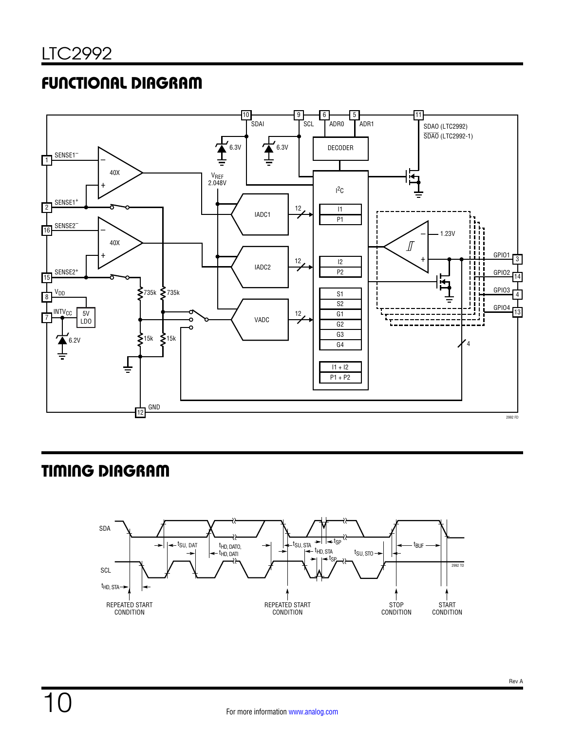# FUNCTIONAL DIAGRAM



# TIMING DIAGRAM

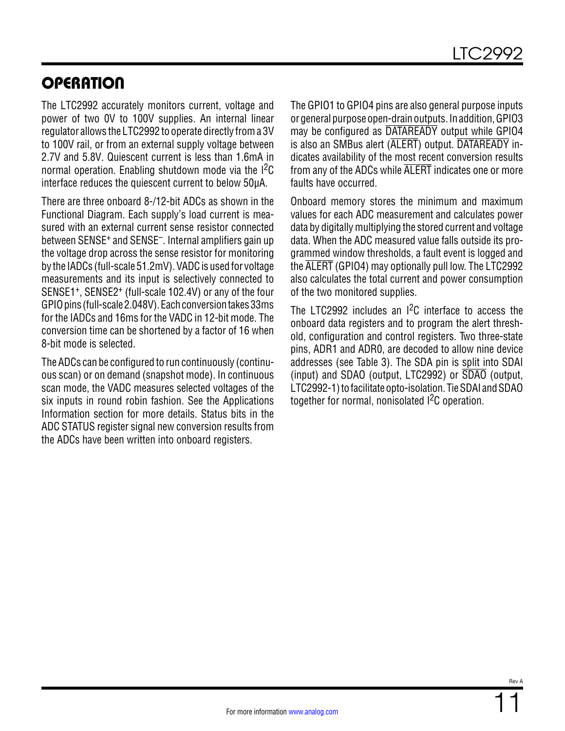# **OPERATION**

The LTC2992 accurately monitors current, voltage and power of two 0V to 100V supplies. An internal linear regulator allows the LTC2992 to operate directly from a 3V to 100V rail, or from an external supply voltage between 2.7V and 5.8V. Quiescent current is less than 1.6mA in normal operation. Enabling shutdown mode via the <sup>12</sup>C interface reduces the quiescent current to below 50µA.

There are three onboard 8-/12-bit ADCs as shown in the Functional Diagram. Each supply's load current is measured with an external current sense resistor connected between SENSE<sup>+</sup> and SENSE<sup>-</sup>. Internal amplifiers gain up the voltage drop across the sense resistor for monitoring by the IADCs (full-scale 51.2mV). VADC is used for voltage measurements and its input is selectively connected to SENSE1+, SENSE2+ (full-scale 102.4V) or any of the four GPIO pins (full-scale 2.048V). Each conversion takes 33ms for the IADCs and 16ms for the VADC in 12-bit mode. The conversion time can be shortened by a factor of 16 when 8-bit mode is selected.

The ADCs can be configured to run continuously (continuous scan) or on demand (snapshot mode). In continuous scan mode, the VADC measures selected voltages of the six inputs in round robin fashion. See the [Applications](#page--1-1) [Information](#page--1-1) section for more details. Status bits in the ADC STATUS register signal new conversion results from the ADCs have been written into onboard registers.

The GPIO1 to GPIO4 pins are also general purpose inputs or general purpose open-drain outputs. In addition, GPIO3 may be configured as DATAREADY output while GPIO4 is also an SMBus alert (ALERT) output. DATAREADY indicates availability of the most recent conversion results from any of the ADCs while ALERT indicates one or more faults have occurred.

Onboard memory stores the minimum and maximum values for each ADC measurement and calculates power data by digitally multiplying the stored current and voltage data. When the ADC measured value falls outside its programmed window thresholds, a fault event is logged and the ALERT (GPIO4) may optionally pull low. The LTC2992 also calculates the total current and power consumption of the two monitored supplies.

The LTC2992 includes an  $1^2C$  interface to access the onboard data registers and to program the alert threshold, configuration and control registers. Two three-state pins, ADR1 and ADR0, are decoded to allow nine device addresses (see [Table 3](#page--1-0)). The SDA pin is split into SDAI (input) and SDAO (output, LTC2992) or SDAO (output, LTC2992-1) to facilitate opto-isolation. Tie SDAI and SDAO together for normal, nonisolated <sup>2</sup>C operation.

11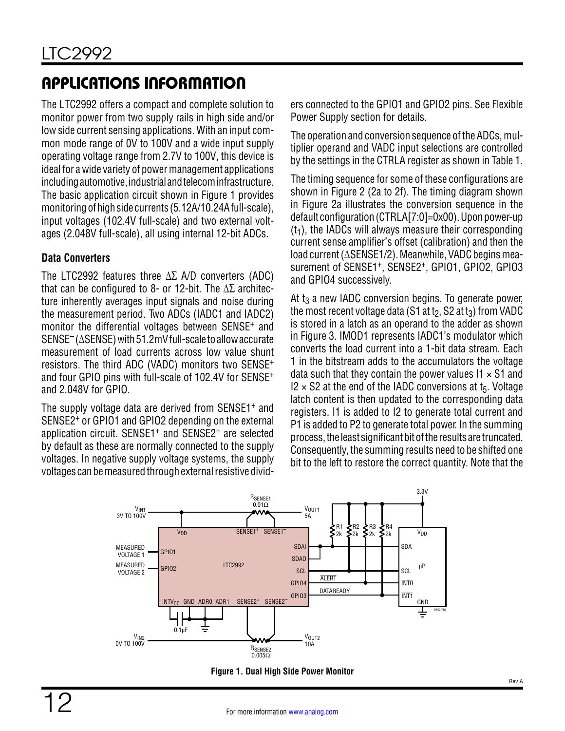The LTC2992 offers a compact and complete solution to monitor power from two supply rails in high side and/or low side current sensing applications. With an input common mode range of 0V to 100V and a wide input supply operating voltage range from 2.7V to 100V, this device is ideal for a wide variety of power management applications including automotive, industrial and telecom infrastructure. The basic application circuit shown in [Figure 1](#page--1-7) provides monitoring of high side currents (5.12A/10.24A full-scale), input voltages (102.4V full-scale) and two external voltages (2.048V full-scale), all using internal 12-bit ADCs.

#### **Data Converters**

The LTC2992 features three ∆∑ A/D converters (ADC) that can be configured to 8- or 12-bit. The  $\Delta\Sigma$  architecture inherently averages input signals and noise during the measurement period. Two ADCs (IADC1 and IADC2) monitor the differential voltages between SENSE+ and SENSE– (∆SENSE) with 51.2mV full-scale to allow accurate measurement of load currents across low value shunt resistors. The third ADC (VADC) monitors two SENSE<sup>+</sup> and four GPIO pins with full-scale of 102.4V for SENSE<sup>+</sup> and 2.048V for GPIO.

The supply voltage data are derived from SENSE1+ and SENSE2+ or GPIO1 and GPIO2 depending on the external application circuit. SENSE1+ and SENSE2+ are selected by default as these are normally connected to the supply voltages. In negative supply voltage systems, the supply voltages can be measured through external resistive dividers connected to the GPIO1 and GPIO2 pins. See Flexible Power Supply section for details.

The operation and conversion sequence of the ADCs, multiplier operand and VADC input selections are controlled by the settings in the CTRLA register as shown in [Table 1](#page--1-8).

The timing sequence for some of these configurations are shown in [Figure 2](#page--1-9) (2a to 2f). The timing diagram shown in [Figure 2a](#page--1-9) illustrates the conversion sequence in the default configuration (CTRLA[7:0]=0x00). Upon power-up  $(t<sub>1</sub>)$ , the IADCs will always measure their corresponding current sense amplifier's offset (calibration) and then the load current (∆SENSE1/2). Meanwhile, VADC begins measurement of SENSE1<sup>+</sup>, SENSE2<sup>+</sup>, GPI01, GPI02, GPI03 and GPIO4 successively.

At t<sub>3</sub> a new IADC conversion begins. To generate power, the most recent voltage data (S1 at  $t_2$ , S2 at  $t_3$ ) from VADC is stored in a latch as an operand to the adder as shown in [Figure 3](#page--1-10). IMOD1 represents IADC1's modulator which converts the load current into a 1-bit data stream. Each 1 in the bitstream adds to the accumulators the voltage data such that they contain the power values  $11 \times S1$  and  $12 \times$  S2 at the end of the IADC conversions at t<sub>5</sub>. Voltage latch content is then updated to the corresponding data registers. I1 is added to I2 to generate total current and P1 is added to P2 to generate total power. In the summing process, the least significant bit of the results are truncated. Consequently, the summing results need to be shifted one bit to the left to restore the correct quantity. Note that the



**Figure 1. Dual High Side Power Monitor**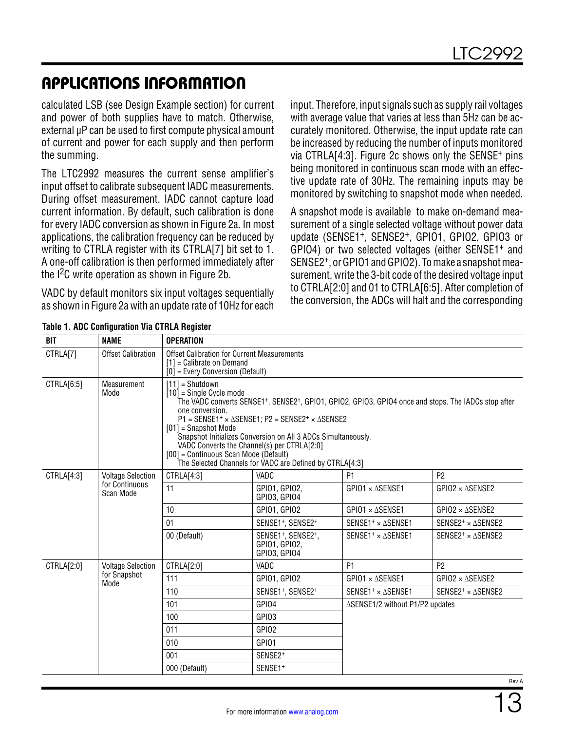calculated LSB (see Design Example section) for current and power of both supplies have to match. Otherwise, external  $\mu$ P can be used to first compute physical amount of current and power for each supply and then perform the summing.

The LTC2992 measures the current sense amplifier's input offset to calibrate subsequent IADC measurements. During offset measurement, IADC cannot capture load current information. By default, such calibration is done for every IADC conversion as shown in [Figure 2a](#page--1-9). In most applications, the calibration frequency can be reduced by writing to CTRLA register with its CTRLA[7] bit set to 1. A one-off calibration is then performed immediately after the I<sup>2</sup>C write operation as shown in [Figure 2b.](#page--1-9)

VADC by default monitors six input voltages sequentially as shown in [Figure 2a](#page--1-9) with an update rate of 10Hz for each input. Therefore, input signals such as supply rail voltages with average value that varies at less than 5Hz can be accurately monitored. Otherwise, the input update rate can be increased by reducing the number of inputs monitored via CTRLA[4:3]. [Figure 2c](#page--1-9) shows only the SENSE+ pins being monitored in continuous scan mode with an effective update rate of 30Hz. The remaining inputs may be monitored by switching to snapshot mode when needed.

A snapshot mode is available to make on-demand measurement of a single selected voltage without power data update (SENSE1+, SENSE2+, GPIO1, GPIO2, GPIO3 or GPIO4) or two selected voltages (either SENSE1+ and SENSE2+, or GPIO1 and GPIO2). To make a snapshot measurement, write the 3-bit code of the desired voltage input to CTRLA[2:0] and 01 to CTRLA[6:5]. After completion of the conversion, the ADCs will halt and the corresponding

| BIT        | <b>NAME</b>                                             | <b>OPERATION</b>                                                                             |                                                                                                                                                                                                                                                                                                                                                                                                                          |                                 |                                      |  |  |  |  |
|------------|---------------------------------------------------------|----------------------------------------------------------------------------------------------|--------------------------------------------------------------------------------------------------------------------------------------------------------------------------------------------------------------------------------------------------------------------------------------------------------------------------------------------------------------------------------------------------------------------------|---------------------------------|--------------------------------------|--|--|--|--|
| CTRLA[7]   | <b>Offset Calibration</b>                               | [1] = Calibrate on Demand                                                                    | <b>Offset Calibration for Current Measurements</b><br>[0] = Every Conversion (Default)                                                                                                                                                                                                                                                                                                                                   |                                 |                                      |  |  |  |  |
| CTRLA[6:5] | Measurement<br>Mode                                     | $[11]$ = Shutdown<br>$[10]$ = Single Cycle mode<br>one conversion.<br>$[01]$ = Snapshot Mode | The VADC converts SENSE1*, SENSE2*, GPIO1, GPIO2, GPIO3, GPIO4 once and stops. The IADCs stop after<br>P1 = SENSE1 <sup>+</sup> × $\triangle$ SENSE1; P2 = SENSE2 <sup>+</sup> × $\triangle$ SENSE2<br>Snapshot Initializes Conversion on All 3 ADCs Simultaneously.<br>VADC Converts the Channel(s) per CTRLA[2:0]<br>[00] = Continuous Scan Mode (Default)<br>The Selected Channels for VADC are Defined by CTRLA[4:3] |                                 |                                      |  |  |  |  |
| CTRLA[4:3] | <b>Voltage Selection</b><br>for Continuous<br>Scan Mode | CTRLA[4:3]                                                                                   | VADC                                                                                                                                                                                                                                                                                                                                                                                                                     | P <sub>1</sub>                  | P <sub>2</sub>                       |  |  |  |  |
|            |                                                         | 11                                                                                           | GPI01, GPI02.<br>GPI03, GPI04                                                                                                                                                                                                                                                                                                                                                                                            | $GPIO1 \times \Delta$ SENSE1    | $GP102 \times \Delta$ SENSE2         |  |  |  |  |
|            | 10 <sup>1</sup>                                         | GPIO1, GPIO2                                                                                 | $GPIO1 \times \Delta$ SENSE1                                                                                                                                                                                                                                                                                                                                                                                             | $GPIO2 \times \Delta$ SENSE2    |                                      |  |  |  |  |
|            | 01                                                      | SENSE1 <sup>+</sup> , SENSE2 <sup>+</sup>                                                    | SENSE1 <sup>+</sup> $\times$ $\Delta$ SENSE1                                                                                                                                                                                                                                                                                                                                                                             | $SENSE2^+ \times \Delta$ SENSE2 |                                      |  |  |  |  |
|            |                                                         | 00 (Default)                                                                                 | SENSE1+, SENSE2+,<br>GPI01, GPI02,<br>GPI03, GPI04                                                                                                                                                                                                                                                                                                                                                                       | SENSE1 <sup>+</sup> × ASENSE1   | SENSE2 <sup>+</sup> $\times$ ASENSE2 |  |  |  |  |
| CTRLA[2:0] | <b>Voltage Selection</b>                                | CTRLA[2:0]                                                                                   | VADC                                                                                                                                                                                                                                                                                                                                                                                                                     | P <sub>1</sub>                  | P <sub>2</sub>                       |  |  |  |  |
|            | for Snapshot<br>Mode                                    | 111                                                                                          | GPI01, GPI02                                                                                                                                                                                                                                                                                                                                                                                                             | $GPIO1 \times \Delta$ SENSE1    | $GPIO2 \times \Delta$ SENSE2         |  |  |  |  |
|            |                                                         | 110                                                                                          | SENSE1+, SENSE2+                                                                                                                                                                                                                                                                                                                                                                                                         | SENSE1 <sup>+</sup> × ASENSE1   | SENSE2 <sup>+</sup> $\times$ ASENSE2 |  |  |  |  |
|            |                                                         | 101                                                                                          | GPI04                                                                                                                                                                                                                                                                                                                                                                                                                    | ∆SENSE1/2 without P1/P2 updates |                                      |  |  |  |  |
|            |                                                         | 100                                                                                          | GPI03                                                                                                                                                                                                                                                                                                                                                                                                                    |                                 |                                      |  |  |  |  |
|            |                                                         | 011                                                                                          | GPIO <sub>2</sub>                                                                                                                                                                                                                                                                                                                                                                                                        |                                 |                                      |  |  |  |  |
|            |                                                         | 010                                                                                          | GPI01                                                                                                                                                                                                                                                                                                                                                                                                                    |                                 |                                      |  |  |  |  |
|            |                                                         | 001                                                                                          | SENSE2 <sup>+</sup>                                                                                                                                                                                                                                                                                                                                                                                                      |                                 |                                      |  |  |  |  |
|            |                                                         | 000 (Default)                                                                                | SENSE1 <sup>+</sup>                                                                                                                                                                                                                                                                                                                                                                                                      |                                 |                                      |  |  |  |  |

#### **Table 1. ADC Configuration Via CTRLA Register**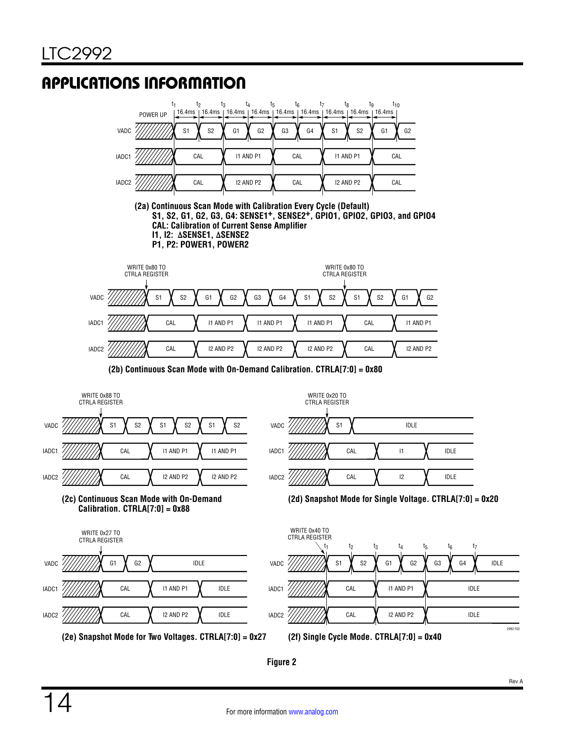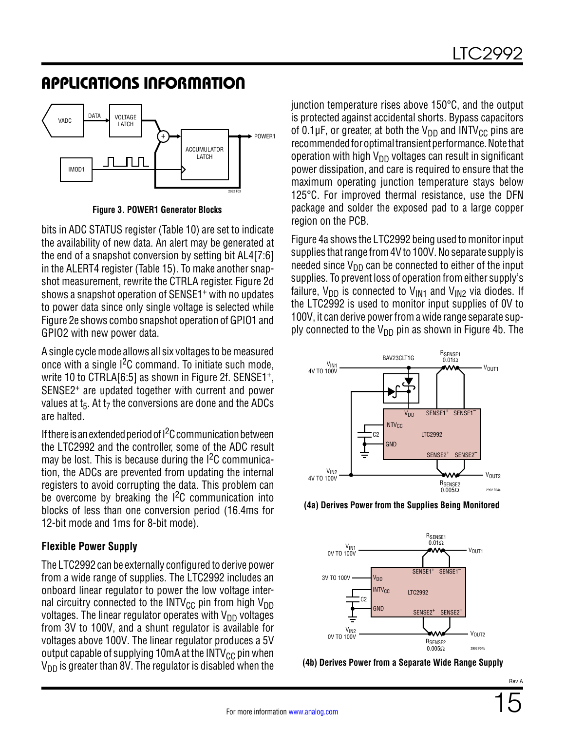

**Figure 3. POWER1 Generator Blocks**

bits in ADC STATUS register ([Table 10\)](#page--1-11) are set to indicate the availability of new data. An alert may be generated at the end of a snapshot conversion by setting bit AL4[7:6] in the ALERT4 register [\(Table 15](#page--1-12)). To make another snapshot measurement, rewrite the CTRLA register. [Figure 2d](#page--1-9) shows a snapshot operation of SENSE1+ with no updates to power data since only single voltage is selected while [Figure 2e](#page--1-9) shows combo snapshot operation of GPIO1 and GPIO2 with new power data.

A single cycle mode allows all six voltages to be measured once with a single  $1<sup>2</sup>C$  command. To initiate such mode, write 10 to CTRLA[6:5] as shown in [Figure 2f](#page--1-9). SENSE1+, SENSE2+ are updated together with current and power values at  $t_5$ . At  $t_7$  the conversions are done and the ADCs are halted.

If there is an extended period of  $l^2C$  communication between the LTC2992 and the controller, some of the ADC result may be lost. This is because during the  $1<sup>2</sup>C$  communication, the ADCs are prevented from updating the internal registers to avoid corrupting the data. This problem can be overcome by breaking the I<sup>2</sup>C communication into blocks of less than one conversion period (16.4ms for 12-bit mode and 1ms for 8-bit mode).

#### **Flexible Power Supply**

The LTC2992 can be externally configured to derive power from a wide range of supplies. The LTC2992 includes an onboard linear regulator to power the low voltage internal circuitry connected to the INTV<sub>CC</sub> pin from high V<sub>DD</sub> voltages. The linear regulator operates with  $V_{DD}$  voltages from 3V to 100V, and a shunt regulator is available for voltages above 100V. The linear regulator produces a 5V output capable of supplying 10mA at the INTV $_{\text{CC}}$  pin when  $V_{DD}$  is greater than 8V. The regulator is disabled when the junction temperature rises above 150°C, and the output is protected against accidental shorts. Bypass capacitors of 0.1 $\mu$ F, or greater, at both the V<sub>DD</sub> and INTV<sub>CC</sub> pins are recommended for optimal transient performance. Note that operation with high  $V_{DD}$  voltages can result in significant power dissipation, and care is required to ensure that the maximum operating junction temperature stays below 125°C. For improved thermal resistance, use the DFN package and solder the exposed pad to a large copper region on the PCB.

[Figure 4a](#page--1-13) shows the LTC2992 being used to monitor input supplies that range from 4V to 100V. No separate supply is needed since  $V_{DD}$  can be connected to either of the input supplies. To prevent loss of operation from either supply's failure,  $V_{DD}$  is connected to  $V_{IN1}$  and  $V_{IN2}$  via diodes. If the LTC2992 is used to monitor input supplies of 0V to 100V, it can derive power from a wide range separate supply connected to the  $V_{DD}$  pin as shown in [Figure 4b](#page--1-14). The



**(4a) Derives Power from the Supplies Being Monitored**



**(4b) Derives Power from a Separate Wide Range Supply**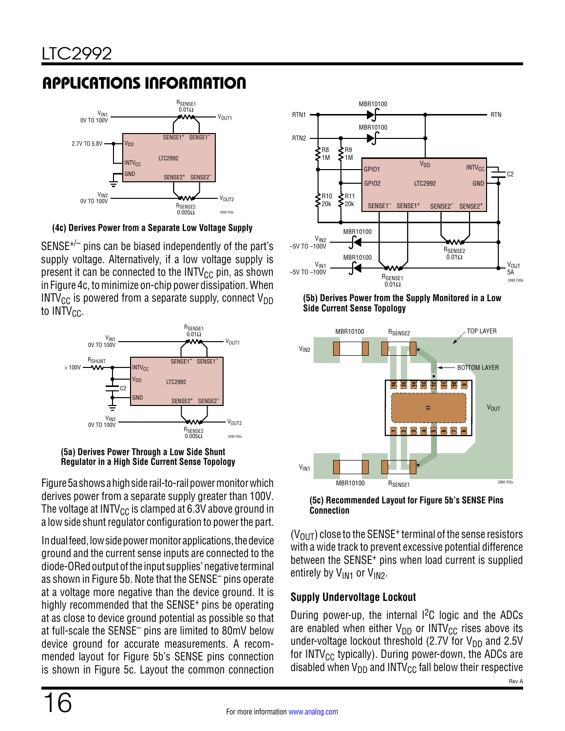

**(4c) Derives Power from a Separate Low Voltage Supply**

 $SENSE^{+/-}$  pins can be biased independently of the part's supply voltage. Alternatively, if a low voltage supply is present it can be connected to the  $INTV_{CC}$  pin, as shown in [Figure 4c,](#page--1-15) to minimize on-chip power dissipation. When INTV<sub>CC</sub> is powered from a separate supply, connect V<sub>DD</sub> to  $INTV_{CC}$ .





[Figure 5a](#page--1-16) shows a high side rail-to-rail power monitor which derives power from a separate supply greater than 100V. The voltage at INTV<sub>CC</sub> is clamped at 6.3V above ground in a low side shunt regulator configuration to power the part.

In dual feed, low side power monitor applications, the device ground and the current sense inputs are connected to the diode-ORed output of the input supplies' negative terminal as shown in [Figure 5b](#page--1-17). Note that the SENSE– pins operate at a voltage more negative than the device ground. It is highly recommended that the SENSE+ pins be operating at as close to device ground potential as possible so that at full-scale the SENSE– pins are limited to 80mV below device ground for accurate measurements. A recommended layout for [Figure 5b](#page--1-17)'s SENSE pins connection is shown in [Figure 5c.](#page--1-18) Layout the common connection









 $(V<sub>OlIT</sub>)$  close to the SENSE<sup>+</sup> terminal of the sense resistors with a wide track to prevent excessive potential difference between the SENSE<sup>+</sup> pins when load current is supplied entirely by V<sub>IN1</sub> or V<sub>IN2</sub>.

#### **Supply Undervoltage Lockout**

During power-up, the internal  $1^2C$  logic and the ADCs are enabled when either  $V_{DD}$  or INTV<sub>CC</sub> rises above its under-voltage lockout threshold (2.7V for  $V_{DD}$  and 2.5V for INTV<sub>CC</sub> typically). During power-down, the ADCs are disabled when  $V_{DD}$  and INTV<sub>CC</sub> fall below their respective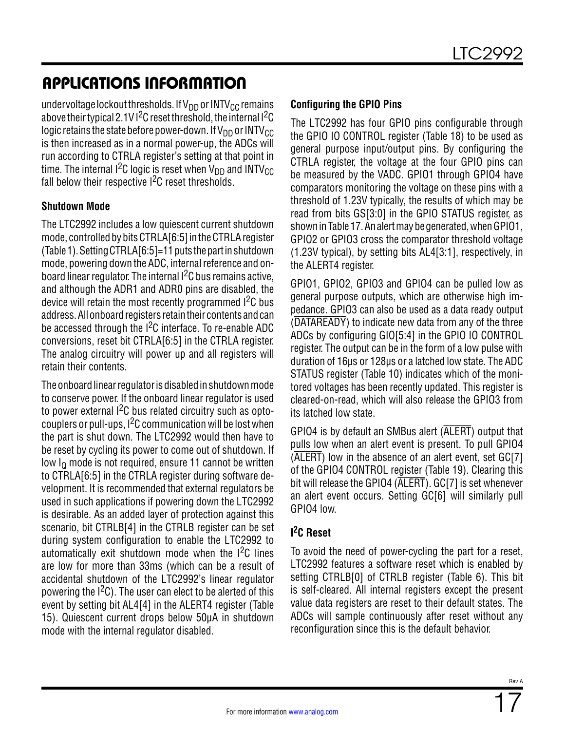undervoltage lockout thresholds. If  $V_{DD}$  or INTV<sub>CC</sub> remains above their typical 2.1V  $1^2C$  reset threshold, the internal  $1^2C$ logic retains the state before power-down. If  $V_{DD}$  or INTV<sub>CC</sub> is then increased as in a normal power-up, the ADCs will run according to CTRLA register's setting at that point in time. The internal  ${}^{12}C$  logic is reset when  $V_{DD}$  and INTV<sub>CC</sub> fall below their respective  $1^2C$  reset thresholds.

#### **Shutdown Mode**

The LTC2992 includes a low quiescent current shutdown mode, controlled by bits CTRLA[6:5] in the CTRLA register ([Table 1\)](#page--1-8). Setting CTRLA[6:5]=11 puts the part in shutdown mode, powering down the ADC, internal reference and onboard linear regulator. The internal  $1<sup>2</sup>C$  bus remains active, and although the ADR1 and ADR0 pins are disabled, the device will retain the most recently programmed I<sup>2</sup>C bus address. All onboard registers retain their contents and can be accessed through the I<sup>2</sup>C interface. To re-enable ADC conversions, reset bit CTRLA[6:5] in the CTRLA register. The analog circuitry will power up and all registers will retain their contents.

The onboard linear regulator is disabled in shutdown mode to conserve power. If the onboard linear regulator is used to power external  $l^2C$  bus related circuitry such as optocouplers or pull-ups, I2C communication will be lost when the part is shut down. The LTC2992 would then have to be reset by cycling its power to come out of shutdown. If low I<sub>0</sub> mode is not required, ensure 11 cannot be written to CTRLA[6:5] in the CTRLA register during software development. It is recommended that external regulators be used in such applications if powering down the LTC2992 is desirable. As an added layer of protection against this scenario, bit CTRLB[4] in the CTRLB register can be set during system configuration to enable the LTC2992 to automatically exit shutdown mode when the  $I<sup>2</sup>C$  lines are low for more than 33ms (which can be a result of accidental shutdown of the LTC2992's linear regulator powering the  $1<sup>2</sup>C$ ). The user can elect to be alerted of this event by setting bit AL4[4] in the ALERT4 register ([Table](#page--1-12) [15](#page--1-12)). Quiescent current drops below 50μA in shutdown mode with the internal regulator disabled.

#### **Configuring the GPIO Pins**

The LTC2992 has four GPIO pins configurable through the GPIO IO CONTROL register ([Table 18](#page--1-2)) to be used as general purpose input/output pins. By configuring the CTRLA register, the voltage at the four GPIO pins can be measured by the VADC. GPIO1 through GPIO4 have comparators monitoring the voltage on these pins with a threshold of 1.23V typically, the results of which may be read from bits GS[3:0] in the GPIO STATUS register, as shown in [Table 17](#page--1-19). An alert may be generated, when GPIO1, GPIO2 or GPIO3 cross the comparator threshold voltage (1.23V typical), by setting bits AL4[3:1], respectively, in the ALERT4 register.

GPIO1, GPIO2, GPIO3 and GPIO4 can be pulled low as general purpose outputs, which are otherwise high impedance. GPIO3 can also be used as a data ready output (DATAREADY) to indicate new data from any of the three ADCs by configuring GIO[5:4] in the GPIO IO CONTROL register. The output can be in the form of a low pulse with duration of 16µs or 128µs or a latched low state. The ADC STATUS register [\(Table 10\)](#page--1-11) indicates which of the monitored voltages has been recently updated. This register is cleared-on-read, which will also release the GPIO3 from its latched low state.

GPIO4 is by default an SMBus alert (ALERT) output that pulls low when an alert event is present. To pull GPIO4  $(\overline{\mathsf{ALERT}})$  low in the absence of an alert event, set GC[7] of the GPIO4 CONTROL register [\(Table 19\)](#page--1-5). Clearing this bit will release the GPIO4 (ALERT). GC[7] is set whenever an alert event occurs. Setting GC[6] will similarly pull GPIO4 low.

#### **I 2C Reset**

To avoid the need of power-cycling the part for a reset, LTC2992 features a software reset which is enabled by setting CTRLB[0] of CTRLB register ([Table 6\)](#page--1-20). This bit is self-cleared. All internal registers except the present value data registers are reset to their default states. The ADCs will sample continuously after reset without any reconfiguration since this is the default behavior.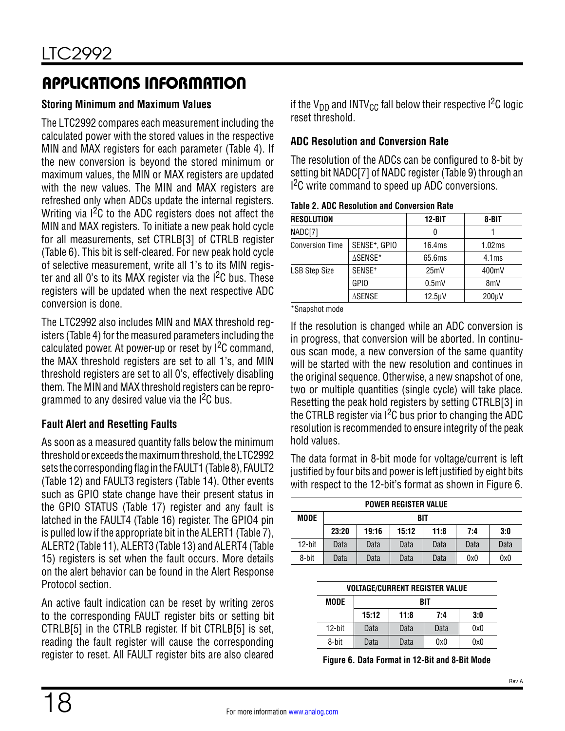#### **Storing Minimum and Maximum Values**

The LTC2992 compares each measurement including the calculated power with the stored values in the respective MIN and MAX registers for each parameter [\(Table 4\)](#page--1-0). If the new conversion is beyond the stored minimum or maximum values, the MIN or MAX registers are updated with the new values. The MIN and MAX registers are refreshed only when ADCs update the internal registers. Writing via  $1<sup>2</sup>C$  to the ADC registers does not affect the MIN and MAX registers. To initiate a new peak hold cycle for all measurements, set CTRLB[3] of CTRLB register ([Table 6](#page--1-20)). This bit is self-cleared. For new peak hold cycle of selective measurement, write all 1's to its MIN register and all 0's to its MAX register via the  $1^2C$  bus. These registers will be updated when the next respective ADC conversion is done.

The LTC2992 also includes MIN and MAX threshold registers [\(Table 4\)](#page--1-0) for the measured parameters including the calculated power. At power-up or reset by  $1^2C$  command, the MAX threshold registers are set to all 1's, and MIN threshold registers are set to all 0's, effectively disabling them. The MIN and MAX threshold registers can be reprogrammed to any desired value via the  $1<sup>2</sup>C$  bus.

#### **Fault Alert and Resetting Faults**

As soon as a measured quantity falls below the minimum threshold or exceeds the maximum threshold, the LTC2992 sets the corresponding flag in the FAULT1 [\(Table 8\)](#page--1-21), FAULT2 ([Table 12](#page--1-5)) and FAULT3 registers ([Table 14](#page--1-0)). Other events such as GPIO state change have their present status in the GPIO STATUS [\(Table 17\)](#page--1-19) register and any fault is latched in the FAULT4 ([Table 16](#page--1-5)) register. The GPIO4 pin is pulled low if the appropriate bit in the ALERT1 [\(Table 7](#page--1-22)), ALERT2 [\(Table 11\)](#page--1-3), ALERT3 [\(Table 13\)](#page--1-4) and ALERT4 ([Table](#page--1-12) [15](#page--1-12)) registers is set when the fault occurs. More details on the alert behavior can be found in the Alert Response Protocol section.

An active fault indication can be reset by writing zeros to the corresponding FAULT register bits or setting bit CTRLB[5] in the CTRLB register. If bit CTRLB[5] is set, reading the fault register will cause the corresponding register to reset. All FAULT register bits are also cleared

if the  $V_{DD}$  and INTV<sub>CC</sub> fall below their respective I<sup>2</sup>C logic reset threshold.

#### **ADC Resolution and Conversion Rate**

The resolution of the ADCs can be configured to 8-bit by setting bit NADC[7] of NADC register [\(Table 9](#page--1-5)) through an I<sup>2</sup>C write command to speed up ADC conversions.

**Table 2. ADC Resolution and Conversion Rate**

| <b>RESOLUTION</b>      |                           | $12 - BIT$       | 8-BIT             |
|------------------------|---------------------------|------------------|-------------------|
| NADC[7]                |                           | 0                |                   |
| <b>Conversion Time</b> | SENSE <sup>+</sup> , GPIO | 16.4ms           | 1.02ms            |
|                        | ∆SENSE*                   | 65.6ms           | 4.1 <sub>ms</sub> |
| <b>LSB Step Size</b>   | SENSE <sup>+</sup>        | 25mV             | 400mV             |
|                        | <b>GPIO</b>               | 0.5 <sub>m</sub> | 8 <sub>m</sub>    |
|                        | ∆SENSE                    | $12.5 \mu V$     | $200 \mu V$       |

\*Snapshot mode

If the resolution is changed while an ADC conversion is in progress, that conversion will be aborted. In continuous scan mode, a new conversion of the same quantity will be started with the new resolution and continues in the original sequence. Otherwise, a new snapshot of one, two or multiple quantities (single cycle) will take place. Resetting the peak hold registers by setting CTRLB[3] in the CTRLB register via  $1<sup>2</sup>C$  bus prior to changing the ADC resolution is recommended to ensure integrity of the peak hold values.

The data format in 8-bit mode for voltage/current is left justified by four bits and power is left justified by eight bits with respect to the 12-bit's format as shown in [Figure 6.](#page--1-23)

| <b>POWER REGISTER VALUE</b> |       |       |       |      |      |      |  |  |  |  |
|-----------------------------|-------|-------|-------|------|------|------|--|--|--|--|
| MODE                        |       | BIT   |       |      |      |      |  |  |  |  |
|                             | 23:20 | 19:16 | 15:12 | 11:8 | 7:4  | 3:0  |  |  |  |  |
| 12-bit                      | Data  | Data  | Data  | Data | Data | Data |  |  |  |  |
| 8-bit                       | Data  | Data  | Data  | Data | 0x0  | 0x0  |  |  |  |  |

| <b>VOLTAGE/CURRENT REGISTER VALUE</b> |       |      |      |     |  |  |  |  |
|---------------------------------------|-------|------|------|-----|--|--|--|--|
| MODE                                  |       | BIT  |      |     |  |  |  |  |
|                                       | 15:12 | 11:8 | 7:4  | 3:0 |  |  |  |  |
| 12-bit                                | Data  | Data | Data | 0x0 |  |  |  |  |
| 8-bit                                 | Data  | Data | 0x0  | 0x0 |  |  |  |  |

**Figure 6. Data Format in 12-Bit and 8-Bit Mode**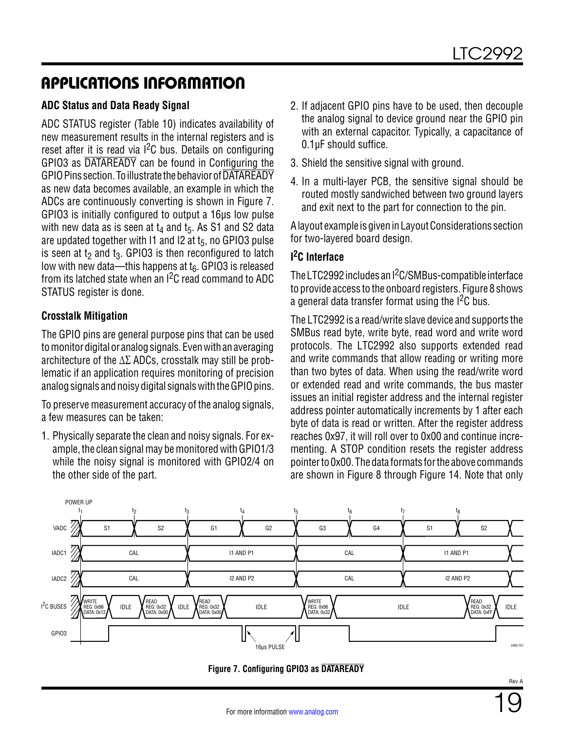#### **ADC Status and Data Ready Signal**

ADC STATUS register [\(Table 10](#page--1-11)) indicates availability of new measurement results in the internal registers and is reset after it is read via  $1^2C$  bus. Details on configuring GPIO3 as DATAREADY can be found in Configuring the GPIO Pins section. To illustrate the behavior of DATAREADY as new data becomes available, an example in which the ADCs are continuously converting is shown in [Figure 7](#page--1-24). GPIO3 is initially configured to output a 16µs low pulse with new data as is seen at  $t_4$  and  $t_5$ . As S1 and S2 data are updated together with  $11$  and  $12$  at  $t_5$ , no GPIO3 pulse is seen at  $t_2$  and  $t_3$ . GPIO3 is then reconfigured to latch low with new data—this happens at  $t<sub>6</sub>$ . GPIO3 is released from its latched state when an I2C read command to ADC STATUS register is done.

#### **Crosstalk Mitigation**

The GPIO pins are general purpose pins that can be used to monitor digital or analog signals. Even with an averaging architecture of the  $\Delta\Sigma$  ADCs, crosstalk may still be problematic if an application requires monitoring of precision analog signals and noisy digital signals with the GPIO pins.

To preserve measurement accuracy of the analog signals, a few measures can be taken:

1. Physically separate the clean and noisy signals. For example, the clean signal may be monitored with GPIO1/3 while the noisy signal is monitored with GPIO2/4 on the other side of the part.

- 2. If adjacent GPIO pins have to be used, then decouple the analog signal to device ground near the GPIO pin with an external capacitor. Typically, a capacitance of 0.1µF should suffice.
- 3. Shield the sensitive signal with ground.
- 4. In a multi-layer PCB, the sensitive signal should be routed mostly sandwiched between two ground layers and exit next to the part for connection to the pin.

A layout example is given in Layout Considerations section for two-layered board design.

#### **I 2C Interface**

The LTC2992 includes an I<sup>2</sup>C/SMBus-compatible interface to provide access to the onboard registers. [Figure 8](#page--1-25) shows a general data transfer format using the I<sup>2</sup>C bus.

The LTC2992 is a read/write slave device and supports the SMBus read byte, write byte, read word and write word protocols. The LTC2992 also supports extended read and write commands that allow reading or writing more than two bytes of data. When using the read/write word or extended read and write commands, the bus master issues an initial register address and the internal register address pointer automatically increments by 1 after each byte of data is read or written. After the register address reaches 0x97, it will roll over to 0x00 and continue incrementing. A STOP condition resets the register address pointer to 0x00. The data formats for the above commands are shown in [Figure 8](#page--1-25) through [Figure 14.](#page--1-26) Note that only



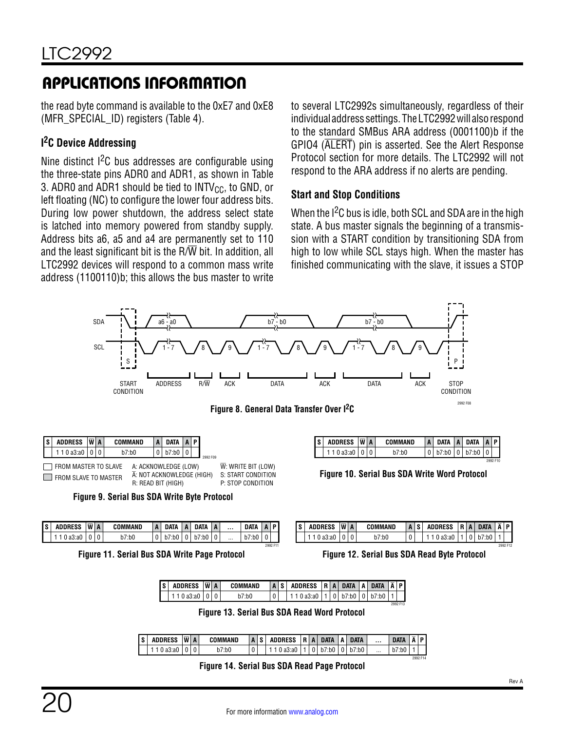the read byte command is available to the 0xE7 and 0xE8 (MFR\_SPECIAL\_ID) registers [\(Table 4\)](#page--1-0).

#### **I 2C Device Addressing**

Nine distinct  $1<sup>2</sup>C$  bus addresses are configurable using the three-state pins ADR0 and ADR1, as shown in [Table](#page--1-0) [3](#page--1-0). ADR0 and ADR1 should be tied to  $INTV_{CC}$ , to GND, or left floating (NC) to configure the lower four address bits. During low power shutdown, the address select state is latched into memory powered from standby supply. Address bits a6, a5 and a4 are permanently set to 110 and the least significant bit is the  $R/\overline{W}$  bit. In addition, all LTC2992 devices will respond to a common mass write address (1100110)b; this allows the bus master to write to several LTC2992s simultaneously, regardless of their individual address settings. The LTC2992 will also respond to the standard SMBus ARA address (0001100)b if the GPIO4 (ALERT) pin is asserted. See the Alert Response Protocol section for more details. The LTC2992 will not respond to the ARA address if no alerts are pending.

#### **Start and Stop Conditions**

When the I<sup>2</sup>C bus is idle, both SCL and SDA are in the high state. A bus master signals the beginning of a transmission with a START condition by transitioning SDA from high to low while SCL stays high. When the master has finished communicating with the slave, it issues a STOP



| I S | <b>ADDRESS</b> | ΙW | $\vert$ A | COMMAND | n | DATA | n | <b>DATA</b> | A |          | <b>DATA</b> | n | D I      |
|-----|----------------|----|-----------|---------|---|------|---|-------------|---|----------|-------------|---|----------|
|     | a3:a0          |    |           | b7:b0   | 0 | ∵b0  |   | ':b0        |   | $\cdots$ | b7:b0       |   |          |
|     |                |    |           |         |   |      |   |             |   |          |             |   | 2992 F11 |

**Figure 11. Serial Bus SDA Write Page Protocol Figure 12. Serial Bus SDA Read Byte Protocol**

|                   |  | <b>Finure 10 Serial Rus SDA Write Word Protocol</b> |                               |  |          |
|-------------------|--|-----------------------------------------------------|-------------------------------|--|----------|
|                   |  |                                                     |                               |  | 2992 F10 |
| 110 a3:a0   0   0 |  | b7:b0                                               | $ 0 $ b7:b0 $ 0 $ b7:b0 $ 0 $ |  |          |

| DATA  | D        |  | <b>JRESS</b> | WA |   | COMMAND | $\mathbf{A}$ |  |  | <b>DATA</b> | D        |
|-------|----------|--|--------------|----|---|---------|--------------|--|--|-------------|----------|
| b7:b0 |          |  | ı.al         |    | ັ | ':b0    | $\sim$<br>u  |  |  |             |          |
|       | COOC FAX |  |              |    |   |         |              |  |  |             | COOR FAC |

2992 F14

| <b>ADDRESS</b> | $\overline{\mathbf{w}}$ | $\mathbf{A}$ | COMMAND | $\overline{A}$ | S. | <b>ADDRESS</b> | R | $\overline{A}$ | <b>DATA</b> | л | <b>DATA</b> | $\overline{\mathbf{A}}$ | D        |
|----------------|-------------------------|--------------|---------|----------------|----|----------------|---|----------------|-------------|---|-------------|-------------------------|----------|
| ao.au          |                         |              | ":b0    | U              |    | '⊰:au          |   |                | :DU         |   |             |                         |          |
|                |                         |              |         |                |    |                |   |                |             |   |             |                         | 2992 F13 |

**Figure 13. Serial Bus SDA Read Word Protocol**

| ls I | <b>ADDRESS</b>      | $ \overline{W} $ A | COMMAND |  | AS ADDRESS R A DATA A DATA |  |  |          | DATA A P  |  |
|------|---------------------|--------------------|---------|--|----------------------------|--|--|----------|-----------|--|
|      | 1 1 0 a3:a0   0   0 |                    | b7:b0   |  | 110a3:a0110b7:b000b7:b0    |  |  | $\cdots$ | b7:b0   1 |  |

**Figure 14. Serial Bus SDA Read Page Protocol**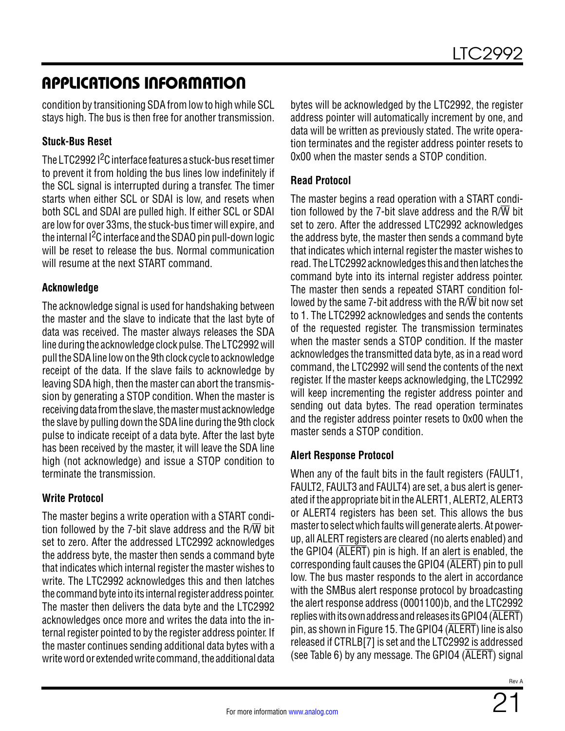condition by transitioning SDA from low to high while SCL stays high. The bus is then free for another transmission.

#### **Stuck-Bus Reset**

The LTC2992 I<sup>2</sup>C interface features a stuck-bus reset timer to prevent it from holding the bus lines low indefinitely if the SCL signal is interrupted during a transfer. The timer starts when either SCL or SDAI is low, and resets when both SCL and SDAI are pulled high. If either SCL or SDAI are low for over 33ms, the stuck-bus timer will expire, and the internal I2C interface and the SDAO pin pull-down logic will be reset to release the bus. Normal communication will resume at the next START command.

#### **Acknowledge**

The acknowledge signal is used for handshaking between the master and the slave to indicate that the last byte of data was received. The master always releases the SDA line during the acknowledge clock pulse. The LTC2992 will pull the SDA line low on the 9th clock cycle to acknowledge receipt of the data. If the slave fails to acknowledge by leaving SDA high, then the master can abort the transmission by generating a STOP condition. When the master is receiving data from the slave, the master must acknowledge the slave by pulling down the SDA line during the 9th clock pulse to indicate receipt of a data byte. After the last byte has been received by the master, it will leave the SDA line high (not acknowledge) and issue a STOP condition to terminate the transmission.

#### **Write Protocol**

The master begins a write operation with a START condition followed by the 7-bit slave address and the  $R/\overline{W}$  bit set to zero. After the addressed LTC2992 acknowledges the address byte, the master then sends a command byte that indicates which internal register the master wishes to write. The LTC2992 acknowledges this and then latches the command byte into its internal register address pointer. The master then delivers the data byte and the LTC2992 acknowledges once more and writes the data into the internal register pointed to by the register address pointer. If the master continues sending additional data bytes with a write word or extended write command, the additional data

bytes will be acknowledged by the LTC2992, the register address pointer will automatically increment by one, and data will be written as previously stated. The write operation terminates and the register address pointer resets to 0x00 when the master sends a STOP condition.

#### **Read Protocol**

The master begins a read operation with a START condition followed by the 7-bit slave address and the  $R/\overline{W}$  bit set to zero. After the addressed LTC2992 acknowledges the address byte, the master then sends a command byte that indicates which internal register the master wishes to read. The LTC2992 acknowledges this and then latches the command byte into its internal register address pointer. The master then sends a repeated START condition followed by the same 7-bit address with the R/ $\overline{W}$  bit now set to 1. The LTC2992 acknowledges and sends the contents of the requested register. The transmission terminates when the master sends a STOP condition. If the master acknowledges the transmitted data byte, as in a read word command, the LTC2992 will send the contents of the next register. If the master keeps acknowledging, the LTC2992 will keep incrementing the register address pointer and sending out data bytes. The read operation terminates and the register address pointer resets to 0x00 when the master sends a STOP condition.

#### **Alert Response Protocol**

When any of the fault bits in the fault registers (FAULT1, FAULT2, FAULT3 and FAULT4) are set, a bus alert is generated if the appropriate bit in the ALERT1, ALERT2, ALERT3 or ALERT4 registers has been set. This allows the bus master to select which faults will generate alerts. At powerup, all ALERT registers are cleared (no alerts enabled) and the GPIO4 (ALERT) pin is high. If an alert is enabled, the corresponding fault causes the GPIO4 (ALERT) pin to pull low. The bus master responds to the alert in accordance with the SMBus alert response protocol by broadcasting the alert response address (0001100)b, and the LTC2992 replies with its own address and releases its GPIO4 (ALERT) pin, as shown in [Figure 15](#page--1-27). The GPIO4 (ALERT) line is also released if CTRLB[7] is set and the LTC2992 is addressed (see [Table 6\)](#page--1-20) by any message. The GPIO4 (ALERT) signal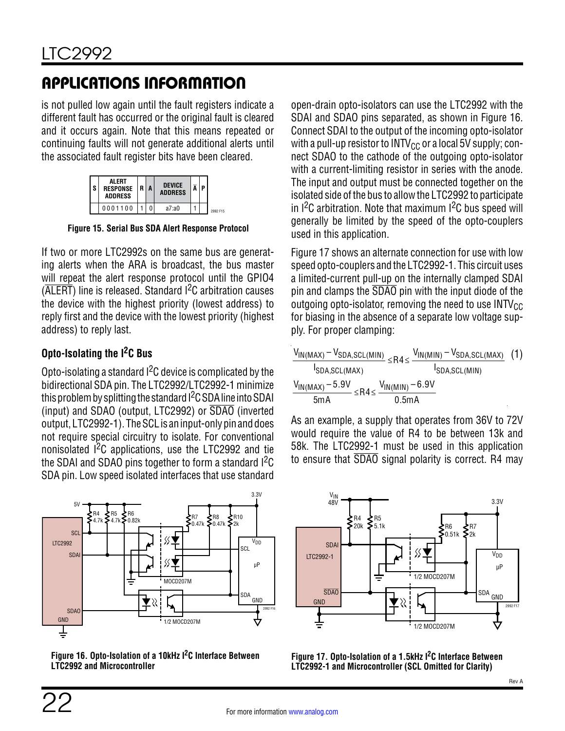is not pulled low again until the fault registers indicate a different fault has occurred or the original fault is cleared and it occurs again. Note that this means repeated or continuing faults will not generate additional alerts until the associated fault register bits have been cleared.

| e | AL FRT<br><b>RESPONSE</b><br><b>ADDRESS</b> | l R I | <b>DEVICE</b><br><b>ADDRESS</b> | D |          |
|---|---------------------------------------------|-------|---------------------------------|---|----------|
|   | 0001100                                     |       | a7: a0                          |   | 2992 F15 |

**Figure 15. Serial Bus SDA Alert Response Protocol**

If two or more LTC2992s on the same bus are generating alerts when the ARA is broadcast, the bus master will repeat the alert response protocol until the GPIO4 (ALERT) line is released. Standard I2C arbitration causes the device with the highest priority (lowest address) to reply first and the device with the lowest priority (highest address) to reply last.

#### **Opto-Isolating the I2C Bus**

Opto-isolating a standard I2C device is complicated by the bidirectional SDA pin. The LTC2992/LTC2992-1 minimize this problem by splitting the standard  $l^2C$  SDA line into SDAI (input) and SDAO (output, LTC2992) or SDAO (inverted output, LTC2992-1). The SCL is an input-only pin and does not require special circuitry to isolate. For conventional nonisolated I2C applications, use the LTC2992 and tie the SDAI and SDAO pins together to form a standard <sup>2</sup>C SDA pin. Low speed isolated interfaces that use standard



**Figure 16. Opto-Isolation of a 10kHz I2C Interface Between LTC2992 and Microcontroller**

open-drain opto-isolators can use the LTC2992 with the SDAI and SDAO pins separated, as shown in [Figure 16](#page--1-28). Connect SDAI to the output of the incoming opto-isolator with a pull-up resistor to  $INTV_{CC}$  or a local 5V supply; connect SDAO to the cathode of the outgoing opto-isolator with a current-limiting resistor in series with the anode. The input and output must be connected together on the isolated side of the bus to allow the LTC2992 to participate in  $1^2C$  arbitration. Note that maximum  $1^2C$  bus speed will generally be limited by the speed of the opto-couplers used in this application.

[Figure 17](#page--1-29) shows an alternate connection for use with low speed opto-couplers and the LTC2992-1. This circuit uses a limited-current pull-up on the internally clamped SDAI pin and clamps the SDAO pin with the input diode of the outgoing opto-isolator, removing the need to use  $INTV_{CC}$ for biasing in the absence of a separate low voltage supply. For proper clamping:

$$
\frac{V_{IN(MAX)} - V_{SDA,SCL(MIN)}}{I_{SDA,SCL(MAX)}} \leq R4 \leq \frac{V_{IN(MIN)} - V_{SDA,SCL(MAX)}}{I_{SDA,SCL(MIN)}} \quad (1)
$$
\n
$$
\frac{V_{IN(MAX)} - 5.9V}{5mA} \leq R4 \leq \frac{V_{IN(MIN)} - 6.9V}{0.5mA}
$$

As an example, a supply that operates from 36V to 72V would require the value of R4 to be between 13k and 58k. The LTC2992-1 must be used in this application to ensure that SDAO signal polarity is correct. R4 may



**Figure 17. Opto-Isolation of a 1.5kHz I2C Interface Between LTC2992-1 and Microcontroller (SCL Omitted for Clarity)**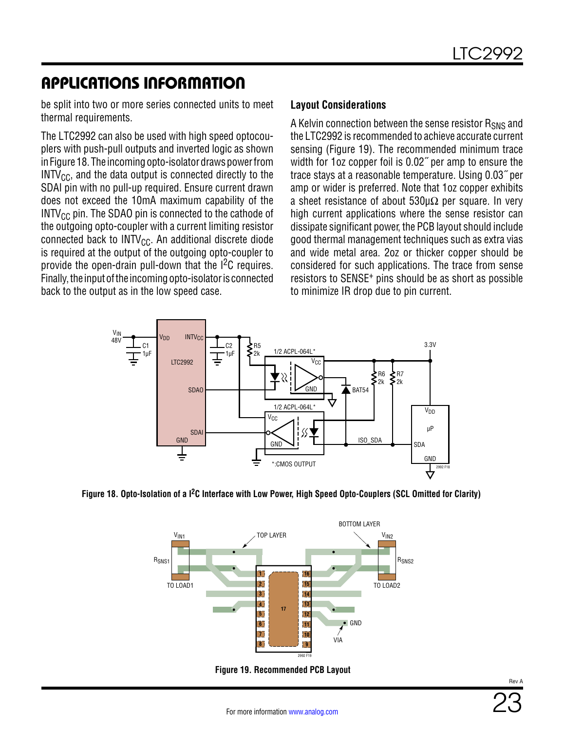be split into two or more series connected units to meet thermal requirements.

The LTC2992 can also be used with high speed optocouplers with push-pull outputs and inverted logic as shown in [Figure 18](#page--1-30). The incoming opto-isolator draws power from  $INTV_{CC}$ , and the data output is connected directly to the SDAI pin with no pull-up required. Ensure current drawn does not exceed the 10mA maximum capability of the  $INTV_{CC}$  pin. The SDAO pin is connected to the cathode of the outgoing opto-coupler with a current limiting resistor connected back to  $INTV_{CC}$ . An additional discrete diode is required at the output of the outgoing opto-coupler to provide the open-drain pull-down that the I2C requires. Finally, the input of the incoming opto-isolator is connected back to the output as in the low speed case.

#### **Layout Considerations**

A Kelvin connection between the sense resistor  $R_{SMS}$  and the LTC2992 is recommended to achieve accurate current sensing [\(Figure 19\)](#page--1-6). The recommended minimum trace width for 1oz copper foil is 0.02˝ per amp to ensure the trace stays at a reasonable temperature. Using 0.03˝ per amp or wider is preferred. Note that 1oz copper exhibits a sheet resistance of about  $530\mu\Omega$  per square. In very high current applications where the sense resistor can dissipate significant power, the PCB layout should include good thermal management techniques such as extra vias and wide metal area. 2oz or thicker copper should be considered for such applications. The trace from sense resistors to SENSE+ pins should be as short as possible to minimize IR drop due to pin current.



**Figure 18. Opto-Isolation of a I2C Interface with Low Power, High Speed Opto-Couplers (SCL Omitted for Clarity)**



**Figure 19. Recommended PCB Layout**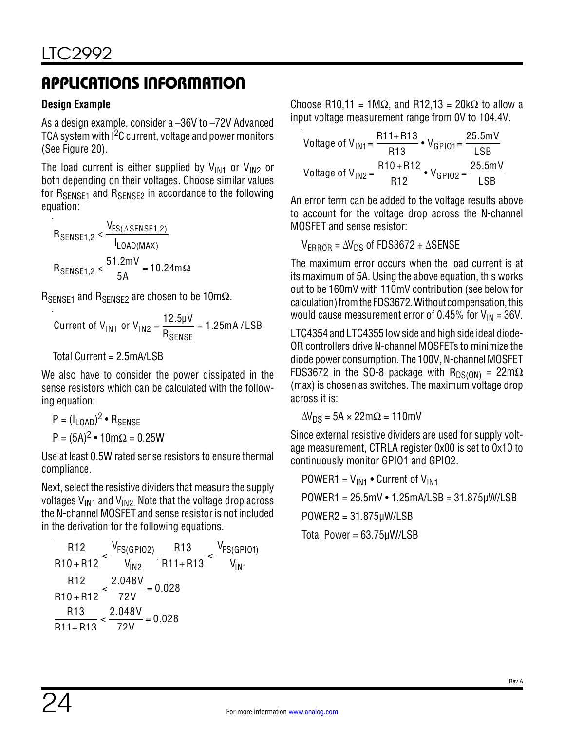#### **Design Example**

As a design example, consider a –36V to –72V Advanced TCA system with I<sup>2</sup>C current, voltage and power monitors (See [Figure 20](#page--1-31)).

The load current is either supplied by  $V_{IN1}$  or  $V_{IN2}$  or both depending on their voltages. Choose similar values for  $R_{SENSF1}$  and  $R_{SENSF2}$  in accordance to the following equation:

$$
R_{\text{SENSE1},2} < \frac{V_{\text{FS}(\Delta \text{SENSE1},2)}}{I_{\text{LOAD}(\text{MAX})}}
$$
\n
$$
R_{\text{SENSE1},2} < \frac{51.2 \text{mV}}{5 \text{A}} = 10.24 \text{m}\Omega
$$

 $R_{\text{SENSF1}}$  and  $R_{\text{SENSF2}}$  are chosen to be 10m $\Omega$ .

Current of V<sub>IN1</sub> or V<sub>IN2</sub> = 
$$
\frac{12.5 \mu V}{R_{\text{SENSE}}} = 1.25 \text{mA / LSB}
$$

Total Current = 2.5mA/LSB

We also have to consider the power dissipated in the sense resistors which can be calculated with the following equation:

P = 
$$
(I_{LOAD})^2 \cdot R_{SENSE}
$$
  
P =  $(5A)^2 \cdot 10mΩ = 0.25W$ 

Use at least 0.5W rated sense resistors to ensure thermal compliance.

Next, select the resistive dividers that measure the supply voltages  $V_{\text{IN1}}$  and  $V_{\text{IN2}}$ . Note that the voltage drop across the N-channel MOSFET and sense resistor is not included in the derivation for the following equations.

| R <sub>12</sub>  | V <sub>FS(GPIO2)</sub> | R <sub>13</sub>     | V <sub>FS(GPIO1)</sub> |
|------------------|------------------------|---------------------|------------------------|
| $R10 + R12$      | Vind                   | $^{\prime}$ R11+R13 | $V_{IN1}$              |
| R <sub>12</sub>  | 2.048V                 | $= 0.028$           |                        |
| $R10 + R12$      | 72V                    |                     |                        |
| R <sub>13</sub>  | 2.048V                 | $= 0.028$           |                        |
| ≺<br>$R11 + R13$ | 721/                   |                     |                        |

Choose R10,11 = 1M $\Omega$ , and R12,13 = 20k $\Omega$  to allow a input voltage measurement range from 0V to 104.4V.

$$
\text{Voltage of } V_{\text{IN1}} = \frac{\text{R11} + \text{R13}}{\text{R13}} \cdot V_{\text{GPI01}} = \frac{25.5 \text{mV}}{\text{LSB}}
$$
\n
$$
\text{Voltage of } V_{\text{IN2}} = \frac{\text{R10} + \text{R12}}{\text{R12}} \cdot V_{\text{GPI02}} = \frac{25.5 \text{mV}}{\text{LSB}}
$$

An error term can be added to the voltage results above to account for the voltage drop across the N-channel MOSFET and sense resistor:

 $V_{FRROR} = \Delta V_{DS}$  of FDS3672 +  $\Delta$ SENSE

The maximum error occurs when the load current is at its maximum of 5A. Using the above equation, this works out to be 160mV with 110mV contribution (see below for calculation) from the FDS3672. Without compensation, this would cause measurement error of 0.45% for  $V_{IN}$  = 36V.

LTC4354 and LTC4355 low side and high side ideal diode-OR controllers drive N-channel MOSFETs to minimize the diode power consumption. The 100V, N-channel MOSFET FDS3672 in the SO-8 package with  $R_{DS(ON)} = 22m\Omega$ (max) is chosen as switches. The maximum voltage drop across it is:

 $\Delta V_{DS}$  = 5A × 22m $\Omega$  = 110mV

Since external resistive dividers are used for supply voltage measurement, CTRLA register 0x00 is set to 0x10 to continuously monitor GPIO1 and GPIO2.

\n
$$
\text{POWER1} = V_{\text{IN1}} \cdot \text{Current of } V_{\text{IN1}}
$$
\n

\n\n $\text{POWER1} = 25.5 \, \text{mV} \cdot 1.25 \, \text{mA/LSB} = 31.875 \, \text{\mu W/LSB}$ \n

\n\n $\text{POWER2} = 31.875 \, \text{\mu W/LSB}$ \n

\n\n $\text{Total Power} = 63.75 \, \text{\mu W/LSB}$ \n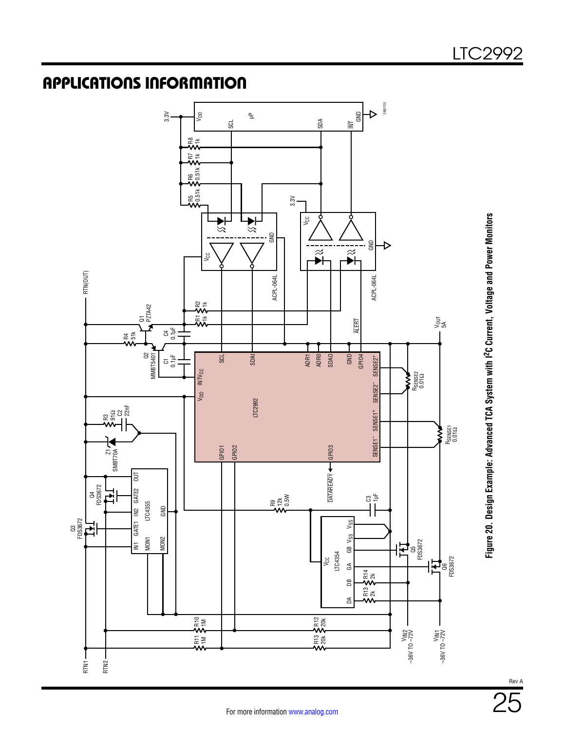

**Figure 20. Design Example: Advanced TCA System with I2C Current, Voltage and Power Monitors**

Figure 20. Design Example: Advanced TCA System with I<sup>2</sup>C Current, Voltage and Power Monitors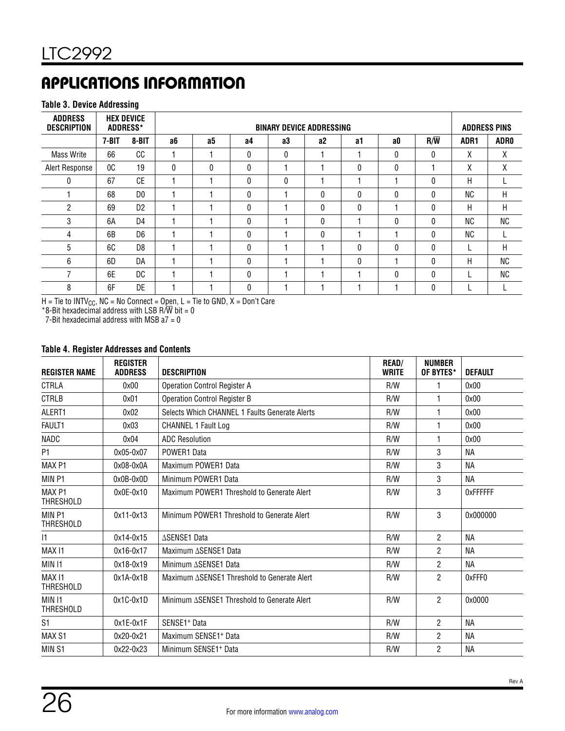#### **Table 3. Device Addressing**

| <b>ADDRESS</b><br><b>DESCRIPTION</b> |           | <b>HEX DEVICE</b><br><b>ADDRESS*</b> |              | <b>BINARY DEVICE ADDRESSING</b> |              |    |              |              |              |                  |                  |      |
|--------------------------------------|-----------|--------------------------------------|--------------|---------------------------------|--------------|----|--------------|--------------|--------------|------------------|------------------|------|
|                                      | $7 - BIT$ | 8-BIT                                | a6           | a5                              | а4           | a3 | a2           | a1           | a0           | $R/\overline{W}$ | ADR <sub>1</sub> | ADR0 |
| <b>Mass Write</b>                    | 66        | CC                                   |              |                                 | $\mathbf{0}$ | 0  |              |              | $\mathbf{0}$ | 0                | χ                | Χ    |
| Alert Response                       | OC.       | 19                                   | $\mathbf{0}$ | $\mathbf{0}$                    | $\mathbf{0}$ |    |              | 0            | $\mathbf{0}$ |                  | Χ                | Χ    |
| 0                                    | 67        | CE                                   |              |                                 | $\Omega$     | 0  |              |              |              | 0                | H                |      |
|                                      | 68        | D <sub>0</sub>                       |              |                                 | 0            |    | $\mathbf{0}$ | 0            | 0            | 0                | ΝC               | H    |
| $\overline{2}$                       | 69        | D <sub>2</sub>                       |              |                                 | 0            |    | 0            | $\mathbf{0}$ |              | 0                | H                | H    |
| 3                                    | 6A        | D <sub>4</sub>                       |              |                                 | 0            |    | $\Omega$     |              | $\mathbf{0}$ | 0                | ΝC               | ΝC   |
| 4                                    | 6B        | D <sub>6</sub>                       |              |                                 | $\Omega$     |    | $\Omega$     |              |              | 0                | ΝC               |      |
| 5                                    | 6C        | D <sub>8</sub>                       |              |                                 | 0            |    |              | $\mathbf{0}$ | $\mathbf{0}$ | 0                |                  | Н    |
| 6                                    | 6D        | DA                                   |              |                                 | 0            |    |              | 0            |              | 0                | H                | NC   |
| 7                                    | 6E        | DC                                   |              |                                 | 0            |    |              |              | 0            | 0                |                  | NC   |
| 8                                    | 6F        | DE                                   |              |                                 | <sup>0</sup> |    |              |              |              | 0                |                  |      |

H = Tie to INTV $_{\rm CC}$ , NC = No Connect = O $_{\rm Den}$ , L = Tie to GND, X = Don't Care

 $*8$ -Bit hexadecimal address with LSB R/W bit = 0

7-Bit hexadecimal address with MSB  $a7 = 0$ 

#### **Table 4. Register Addresses and Contents**

| <b>REGISTER NAME</b>                  | <b>REGISTER</b><br><b>ADDRESS</b> | <b>DESCRIPTION</b>                             | <b>READ/</b><br><b>WRITE</b> | <b>NUMBER</b><br>OF BYTES* | <b>DEFAULT</b> |
|---------------------------------------|-----------------------------------|------------------------------------------------|------------------------------|----------------------------|----------------|
| CTRLA                                 | 0x00                              | <b>Operation Control Register A</b>            | R/W                          | 1                          | 0x00           |
| <b>CTRLB</b>                          | 0x01                              | <b>Operation Control Register B</b>            | R/W                          | 1                          | 0x00           |
| ALERT1                                | 0x02                              | Selects Which CHANNEL 1 Faults Generate Alerts | R/W                          | 1                          | 0x00           |
| <b>FAULT1</b>                         | 0x03                              | <b>CHANNEL 1 Fault Log</b>                     | R/W                          | 1                          | 0x00           |
| <b>NADC</b>                           | 0x04                              | <b>ADC Resolution</b>                          | R/W                          | 1                          | 0x00           |
| P1                                    | 0x05-0x07                         | POWER1 Data                                    | R/W                          | 3                          | <b>NA</b>      |
| MAX <sub>P1</sub>                     | $0x08-0x0A$                       | Maximum POWER1 Data                            | R/W                          | 3                          | <b>NA</b>      |
| MIN <sub>P1</sub>                     | $0x0B-0x0D$                       | Minimum POWER1 Data                            | R/W                          | 3                          | <b>NA</b>      |
| MAX <sub>P1</sub><br><b>THRESHOLD</b> | $0x0E-0x10$                       | Maximum POWER1 Threshold to Generate Alert     | R/W                          | 3                          | 0xFFFFFF       |
| MIN <sub>P1</sub><br><b>THRESHOLD</b> | 0x11-0x13                         | Minimum POWER1 Threshold to Generate Alert     | R/W                          | 3                          | 0x000000       |
| 1                                     | 0x14-0x15                         | ∆SENSE1 Data                                   | R/W                          | $\overline{2}$             | <b>NA</b>      |
| MAX <sub>11</sub>                     | $0x16-0x17$                       | Maximum ASENSE1 Data                           | R/W                          | $\overline{2}$             | <b>NA</b>      |
| MIN I1                                | 0x18-0x19                         | Minimum ASENSE1 Data                           | R/W                          | $\overline{2}$             | <b>NA</b>      |
| MAX <sub>11</sub><br><b>THRESHOLD</b> | $0x1A-0x1B$                       | Maximum ASENSE1 Threshold to Generate Alert    | R/W                          | $\overline{2}$             | 0xFFF0         |
| MIN <sub>11</sub><br><b>THRESHOLD</b> | $0x1C-0x1D$                       | Minimum ASENSE1 Threshold to Generate Alert    | R/W                          | $\overline{2}$             | 0x0000         |
| S <sub>1</sub>                        | $0x1E-0x1F$                       | SENSE1+ Data                                   | R/W                          | $\overline{2}$             | <b>NA</b>      |
| MAX S1                                | 0x20-0x21                         | Maximum SENSE1 <sup>+</sup> Data               | R/W                          | $\overline{2}$             | <b>NA</b>      |
| MIN <sub>S1</sub>                     | 0x22-0x23                         | Minimum SENSE1+ Data                           | R/W                          | 2                          | <b>NA</b>      |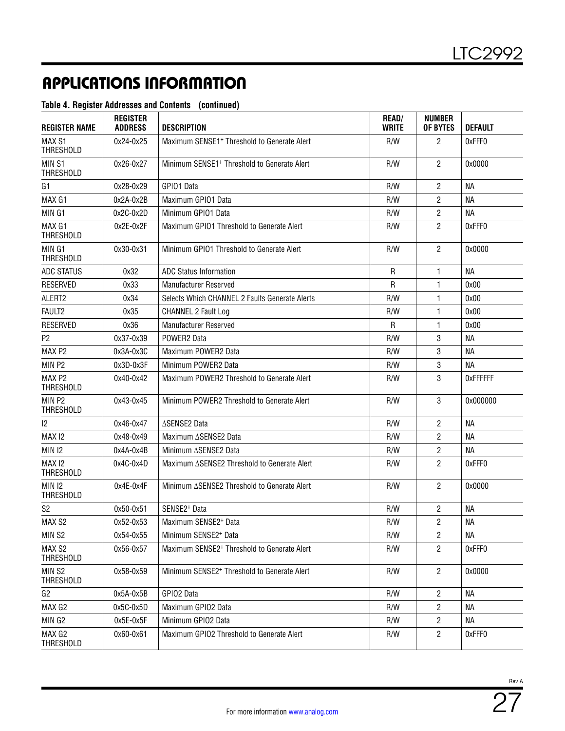#### **Table 4. Register Addresses and Contents (continued)**

| <b>REGISTER NAME</b>                  | <b>REGISTER</b><br><b>ADDRESS</b> | <b>DESCRIPTION</b>                                      | <b>READ/</b><br><b>WRITE</b> | <b>NUMBER</b><br>OF BYTES | <b>DEFAULT</b> |
|---------------------------------------|-----------------------------------|---------------------------------------------------------|------------------------------|---------------------------|----------------|
| MAX S1<br><b>THRESHOLD</b>            | 0x24-0x25                         | Maximum SENSE1 <sup>+</sup> Threshold to Generate Alert | R/W                          | 2                         | 0xFFF0         |
| MIN <sub>S1</sub><br><b>THRESHOLD</b> | 0x26-0x27                         | Minimum SENSE1 <sup>+</sup> Threshold to Generate Alert | R/W                          | $\overline{2}$            | 0x0000         |
| G1                                    | 0x28-0x29                         | GPI01 Data                                              | R/W                          | $\overline{2}$            | <b>NA</b>      |
| MAX G1                                | $0x2A-0x2B$                       | Maximum GPI01 Data                                      | R/W                          | $\overline{c}$            | <b>NA</b>      |
| MIN G1                                | $0x2C-0x2D$                       | Minimum GPI01 Data                                      | R/W                          | 2                         | <b>NA</b>      |
| MAX G1<br><b>THRESHOLD</b>            | 0x2E-0x2F                         | Maximum GPIO1 Threshold to Generate Alert               | R/W                          | $\overline{2}$            | 0xFFF0         |
| MIN G1<br><b>THRESHOLD</b>            | 0x30-0x31                         | Minimum GPI01 Threshold to Generate Alert               | R/W                          | $\overline{2}$            | 0x0000         |
| <b>ADC STATUS</b>                     | 0x32                              | <b>ADC Status Information</b>                           | $\mathsf{R}$                 | 1                         | <b>NA</b>      |
| RESERVED                              | 0x33                              | <b>Manufacturer Reserved</b>                            | R                            | 1                         | 0x00           |
| ALERT2                                | 0x34                              | Selects Which CHANNEL 2 Faults Generate Alerts          | R/W                          | 1                         | 0x00           |
| FAULT2                                | 0x35                              | <b>CHANNEL 2 Fault Log</b>                              | R/W                          | 1                         | 0x00           |
| <b>RESERVED</b>                       | 0x36                              | Manufacturer Reserved                                   | R                            | 1                         | 0x00           |
| P <sub>2</sub>                        | 0x37-0x39                         | POWER2 Data                                             | R/W                          | 3                         | <b>NA</b>      |
| MAX <sub>P2</sub>                     | $0x3A-0x3C$                       | Maximum POWER2 Data                                     | R/W                          | 3                         | <b>NA</b>      |
| MIN P2                                | 0x3D-0x3F                         | Minimum POWER2 Data                                     | R/W                          | 3                         | <b>NA</b>      |
| MAX <sub>P2</sub><br><b>THRESHOLD</b> | 0x40-0x42                         | Maximum POWER2 Threshold to Generate Alert              | R/W                          | 3                         | 0xFFFFFF       |
| MIN <sub>P2</sub><br><b>THRESHOLD</b> | 0x43-0x45                         | Minimum POWER2 Threshold to Generate Alert              | R/W                          | 3                         | 0x000000       |
| $ 2\rangle$                           | 0x46-0x47                         | ∆SENSE2 Data                                            | R/W                          | $\overline{2}$            | <b>NA</b>      |
| MAX <sub>12</sub>                     | 0x48-0x49                         | Maximum ASENSE2 Data                                    | R/W                          | $\overline{2}$            | NА             |
| <b>MIN 12</b>                         | $0x4A-0x4B$                       | Minimum ASENSE2 Data                                    | R/W                          | $\overline{2}$            | NА             |
| MAX <sub>12</sub><br><b>THRESHOLD</b> | $0x4C-0x4D$                       | Maximum ASENSE2 Threshold to Generate Alert             | R/W                          | $\overline{2}$            | 0xFFF0         |
| <b>MIN 12</b><br>THRESHOLD            | 0x4E-0x4F                         | Minimum ASENSE2 Threshold to Generate Alert             | R/W                          | $\overline{2}$            | 0x0000         |
| S <sub>2</sub>                        | 0x50-0x51                         | SENSE2 <sup>+</sup> Data                                | R/W                          | $\overline{2}$            | <b>NA</b>      |
| MAX S2                                | 0x52-0x53                         | Maximum SENSE2+ Data                                    | R/W                          | $\overline{c}$            | <b>NA</b>      |
| MIN <sub>S2</sub>                     | 0x54-0x55                         | Minimum SENSE2 <sup>+</sup> Data                        | R/W                          | $\overline{2}$            | ΝA             |
| MAX S2<br><b>THRESHOLD</b>            | 0x56-0x57                         | Maximum SENSE2 <sup>+</sup> Threshold to Generate Alert | R/W                          | 2                         | 0xFFF0         |
| MIN <sub>S2</sub><br><b>THRESHOLD</b> | 0x58-0x59                         | Minimum SENSE2 <sup>+</sup> Threshold to Generate Alert | R/W                          | $\overline{2}$            | 0x0000         |
| G2                                    | 0x5A-0x5B                         | GPIO2 Data                                              | R/W                          | 2                         | ΝA             |
| MAX G2                                | 0x5C-0x5D                         | Maximum GPIO2 Data                                      | R/W                          | 2                         | ΝA             |
| MIN G2                                | 0x5E-0x5F                         | Minimum GPIO2 Data                                      | R/W                          | 2                         | NА             |
| MAX G2<br>THRESHOLD                   | 0x60-0x61                         | Maximum GPIO2 Threshold to Generate Alert               | R/W                          | $\overline{2}$            | 0xFFF0         |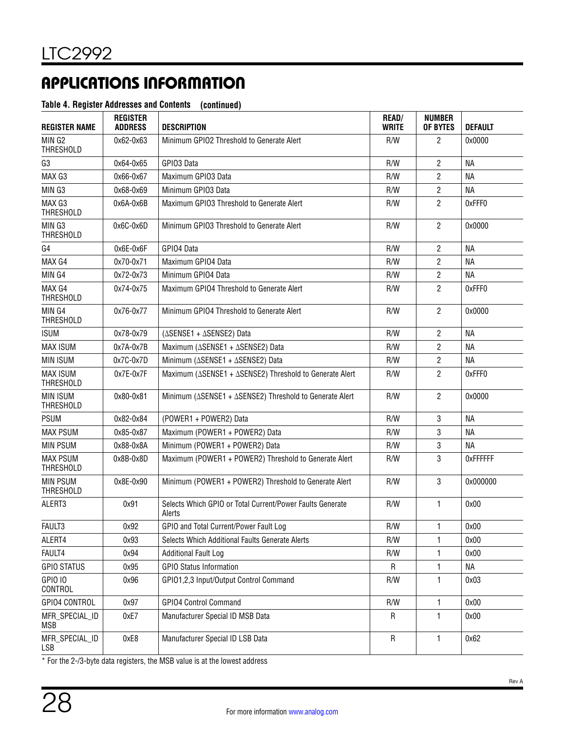#### **Table 4. Register Addresses and Contents (continued)**

| <b>REGISTER NAME</b>                | <b>REGISTER</b><br><b>ADDRESS</b> | <b>DESCRIPTION</b>                                                             | <b>READ/</b><br><b>WRITE</b> | <b>NUMBER</b><br>OF BYTES | <b>DEFAULT</b>  |
|-------------------------------------|-----------------------------------|--------------------------------------------------------------------------------|------------------------------|---------------------------|-----------------|
| MIN G2<br><b>THRESHOLD</b>          | 0x62-0x63                         | Minimum GPIO2 Threshold to Generate Alert                                      | R/W                          | 2                         | 0x0000          |
| G <sub>3</sub>                      | 0x64-0x65                         | GPIO3 Data                                                                     | R/W                          | $\overline{c}$            | <b>NA</b>       |
| MAX G3                              | 0x66-0x67                         | Maximum GPI03 Data                                                             | R/W                          | 2                         | NА              |
| MIN G3                              | 0x68-0x69                         | Minimum GPI03 Data                                                             | R/W                          | 2                         | <b>NA</b>       |
| MAX G3<br><b>THRESHOLD</b>          | $0x6A-0x6B$                       | Maximum GPIO3 Threshold to Generate Alert                                      | R/W                          | 2                         | 0xFFF0          |
| MIN G3<br><b>THRESHOLD</b>          | $0x6C-0x6D$                       | Minimum GPIO3 Threshold to Generate Alert                                      | R/W                          | $\overline{2}$            | 0x0000          |
| G4                                  | 0x6E-0x6F                         | GPIO4 Data                                                                     | R/W                          | 2                         | NА              |
| MAX G4                              | 0x70-0x71                         | Maximum GPIO4 Data                                                             | R/W                          | 2                         | NА              |
| MIN G4                              | 0x72-0x73                         | Minimum GPIO4 Data                                                             | R/W                          | 2                         | NА              |
| MAX G4<br><b>THRESHOLD</b>          | 0x74-0x75                         | Maximum GPIO4 Threshold to Generate Alert                                      | R/W                          | $\overline{2}$            | 0xFFF0          |
| MIN G4<br><b>THRESHOLD</b>          | 0x76-0x77                         | Minimum GPIO4 Threshold to Generate Alert                                      | R/W                          | $\overline{2}$            | 0x0000          |
| <b>ISUM</b>                         | 0x78-0x79                         | (∆SENSE1 + ∆SENSE2) Data                                                       | R/W                          | 2                         | NА              |
| <b>MAX ISUM</b>                     | $0x7A-0x7B$                       | Maximum (∆SENSE1 + ∆SENSE2) Data                                               | R/W                          | 2                         | <b>NA</b>       |
| <b>MIN ISUM</b>                     | 0x7C-0x7D                         | Minimum (ASENSE1 + ASENSE2) Data                                               | R/W                          | $\overline{c}$            | <b>NA</b>       |
| <b>MAX ISUM</b><br><b>THRESHOLD</b> | 0x7E-0x7F                         | Maximum ( $\triangle$ SENSE1 + $\triangle$ SENSE2) Threshold to Generate Alert | R/W                          | $\overline{2}$            | 0xFFF0          |
| <b>MIN ISUM</b><br><b>THRESHOLD</b> | 0x80-0x81                         | Minimum ( $\triangle$ SENSE1 + $\triangle$ SENSE2) Threshold to Generate Alert | R/W                          | $\overline{2}$            | 0x0000          |
| <b>PSUM</b>                         | 0x82-0x84                         | (POWER1 + POWER2) Data                                                         | R/W                          | 3                         | <b>NA</b>       |
| <b>MAX PSUM</b>                     | 0x85-0x87                         | Maximum (POWER1 + POWER2) Data                                                 | R/W                          | 3                         | <b>NA</b>       |
| <b>MIN PSUM</b>                     | 0x88-0x8A                         | Minimum (POWER1 + POWER2) Data                                                 | R/W                          | 3                         | <b>NA</b>       |
| <b>MAX PSUM</b><br><b>THRESHOLD</b> | $0x8B-0x8D$                       | Maximum (POWER1 + POWER2) Threshold to Generate Alert                          | R/W                          | 3                         | <b>OXFFFFFF</b> |
| <b>MIN PSUM</b><br><b>THRESHOLD</b> | 0x8E-0x90                         | Minimum (POWER1 + POWER2) Threshold to Generate Alert                          | R/W                          | 3                         | 0x000000        |
| ALERT3                              | 0x91                              | Selects Which GPIO or Total Current/Power Faults Generate<br>Alerts            | R/W                          | 1                         | 0x00            |
| FAULT3                              | 0x92                              | GPIO and Total Current/Power Fault Log                                         | R/W                          | 1                         | 0x00            |
| ALERT4                              | 0x93                              | Selects Which Additional Faults Generate Alerts                                | R/W                          | 1                         | 0x00            |
| FAULT4                              | 0x94                              | <b>Additional Fault Log</b>                                                    | R/W                          | 1                         | 0x00            |
| <b>GPIO STATUS</b>                  | 0x95                              | <b>GPIO Status Information</b>                                                 | R                            | 1                         | <b>NA</b>       |
| <b>GPIO 10</b><br>CONTROL           | 0x96                              | GPI01,2,3 Input/Output Control Command                                         | R/W                          | 1                         | 0x03            |
| GPIO4 CONTROL                       | 0x97                              | <b>GPIO4 Control Command</b>                                                   | R/W                          | 1                         | 0x00            |
| MFR_SPECIAL_ID<br>MSB               | 0xE7                              | Manufacturer Special ID MSB Data                                               | ${\sf R}$                    | 1                         | 0x00            |
| MFR_SPECIAL_ID<br>LSB               | 0xE8                              | Manufacturer Special ID LSB Data                                               | ${\sf R}$                    | 1                         | 0x62            |

\* For the 2-/3-byte data registers, the MSB value is at the lowest address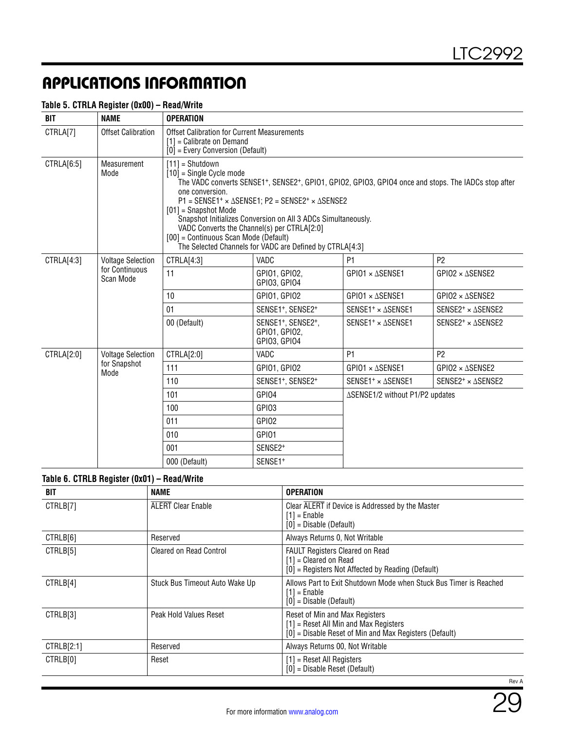| <b>BIT</b> | <b>NAME</b>                 | <b>OPERATION</b>                                                                                                                                                                                                                                                                                                                                                                                                                                                                                                           |                                                                              |                                 |                                      |  |  |
|------------|-----------------------------|----------------------------------------------------------------------------------------------------------------------------------------------------------------------------------------------------------------------------------------------------------------------------------------------------------------------------------------------------------------------------------------------------------------------------------------------------------------------------------------------------------------------------|------------------------------------------------------------------------------|---------------------------------|--------------------------------------|--|--|
| CTRLA[7]   | <b>Offset Calibration</b>   | <b>Offset Calibration for Current Measurements</b><br>$[1]$ = Calibrate on Demand<br>$[0]$ = Every Conversion (Default)                                                                                                                                                                                                                                                                                                                                                                                                    |                                                                              |                                 |                                      |  |  |
| CTRLA[6:5] | Measurement<br>Mode         | $[11] = Shutdown$<br>$[10]$ = Single Cycle mode<br>The VADC converts SENSE1+, SENSE2+, GPIO1, GPIO2, GPIO3, GPIO4 once and stops. The IADCs stop after<br>one conversion.<br>$P1 =$ SENSE1 <sup>+</sup> × $\triangle$ SENSE1; P2 = SENSE2 <sup>+</sup> × $\triangle$ SENSE2<br>$[01]$ = Snapshot Mode<br>Snapshot Initializes Conversion on All 3 ADCs Simultaneously.<br>VADC Converts the Channel(s) per CTRLA[2:0]<br>[00] = Continuous Scan Mode (Default)<br>The Selected Channels for VADC are Defined by CTRLA[4:3] |                                                                              |                                 |                                      |  |  |
| CTRLA[4:3] | <b>Voltage Selection</b>    | CTRLA[4:3]                                                                                                                                                                                                                                                                                                                                                                                                                                                                                                                 | VADC                                                                         | P <sub>1</sub>                  | P <sub>2</sub>                       |  |  |
|            | for Continuous<br>Scan Mode | 11                                                                                                                                                                                                                                                                                                                                                                                                                                                                                                                         | GPI01, GPI02,<br>GPI03, GPI04                                                | $GPIO1 \times \Delta$ SENSE1    | $GP102 \times \Delta$ SENSE2         |  |  |
|            |                             | 10                                                                                                                                                                                                                                                                                                                                                                                                                                                                                                                         | GPIO1, GPIO2                                                                 | GPIO1 × ASENSE1                 | $GP102 \times \Delta$ SENSE2         |  |  |
|            |                             | 01                                                                                                                                                                                                                                                                                                                                                                                                                                                                                                                         | SENSE1+, SENSE2+                                                             | SENSE1 <sup>+</sup> × ASENSE1   | SENSE2 <sup>+</sup> $\times$ ASENSE2 |  |  |
|            |                             | 00 (Default)                                                                                                                                                                                                                                                                                                                                                                                                                                                                                                               | SENSE1 <sup>+</sup> , SENSE2 <sup>+</sup> ,<br>GPI01, GPI02,<br>GPI03, GPI04 | SENSE1 <sup>+</sup> × ASENSE1   | SENSE2 <sup>+</sup> $\times$ ASENSE2 |  |  |
| CTRLA[2:0] | <b>Voltage Selection</b>    | CTRLA[2:0]                                                                                                                                                                                                                                                                                                                                                                                                                                                                                                                 | VADC                                                                         | P <sub>1</sub>                  | P <sub>2</sub>                       |  |  |
|            | for Snapshot<br>Mode        | 111                                                                                                                                                                                                                                                                                                                                                                                                                                                                                                                        | GPI01, GPI02                                                                 | GPIO1 × ASENSE1                 | $GP102 \times \Delta$ SENSE2         |  |  |
|            |                             | 110                                                                                                                                                                                                                                                                                                                                                                                                                                                                                                                        | SENSE1+, SENSE2+                                                             | SENSE1 <sup>+</sup> × ASENSE1   | SENSE2 <sup>+</sup> × ASENSE2        |  |  |
|            |                             | 101                                                                                                                                                                                                                                                                                                                                                                                                                                                                                                                        | GPI04                                                                        | ∆SENSE1/2 without P1/P2 updates |                                      |  |  |
|            |                             | 100                                                                                                                                                                                                                                                                                                                                                                                                                                                                                                                        | GPI03                                                                        |                                 |                                      |  |  |
|            |                             | 011                                                                                                                                                                                                                                                                                                                                                                                                                                                                                                                        | GPI02                                                                        |                                 |                                      |  |  |
|            |                             | 010                                                                                                                                                                                                                                                                                                                                                                                                                                                                                                                        | GPI01                                                                        |                                 |                                      |  |  |
|            |                             | 001                                                                                                                                                                                                                                                                                                                                                                                                                                                                                                                        | SENSE2 <sup>+</sup>                                                          |                                 |                                      |  |  |
|            |                             | 000 (Default)                                                                                                                                                                                                                                                                                                                                                                                                                                                                                                              | SENSE1 <sup>+</sup>                                                          |                                 |                                      |  |  |

#### **Table 5. CTRLA Register (0x00) – Read/Write**

**Table 6. CTRLB Register (0x01) – Read/Write**

| BIT        | <b>NAME</b>                    | <b>OPERATION</b>                                                                                                                    |
|------------|--------------------------------|-------------------------------------------------------------------------------------------------------------------------------------|
| CTRLB[7]   | <b>ALERT Clear Enable</b>      | Clear ALERT if Device is Addressed by the Master<br>$[1] =$ Enable<br>$[0]$ = Disable (Default)                                     |
| CTRLB[6]   | Reserved                       | Always Returns 0, Not Writable                                                                                                      |
| CTRLB[5]   | <b>Cleared on Read Control</b> | <b>FAULT Registers Cleared on Read</b><br>$[1]$ = Cleared on Read<br>$[0]$ = Registers Not Affected by Reading (Default)            |
| CTRLB[4]   | Stuck Bus Timeout Auto Wake Up | Allows Part to Exit Shutdown Mode when Stuck Bus Timer is Reached<br>$[1]$ = Enable<br>$[0]$ = Disable (Default)                    |
| CTRLB[3]   | Peak Hold Values Reset         | Reset of Min and Max Registers<br>$[1]$ = Reset All Min and Max Registers<br>[0] = Disable Reset of Min and Max Registers (Default) |
| CTRLB[2:1] | Reserved                       | Always Returns 00, Not Writable                                                                                                     |
| CTRLB[0]   | Reset                          | $[1]$ = Reset All Registers<br>$[0]$ = Disable Reset (Default)                                                                      |
|            |                                | Rev A                                                                                                                               |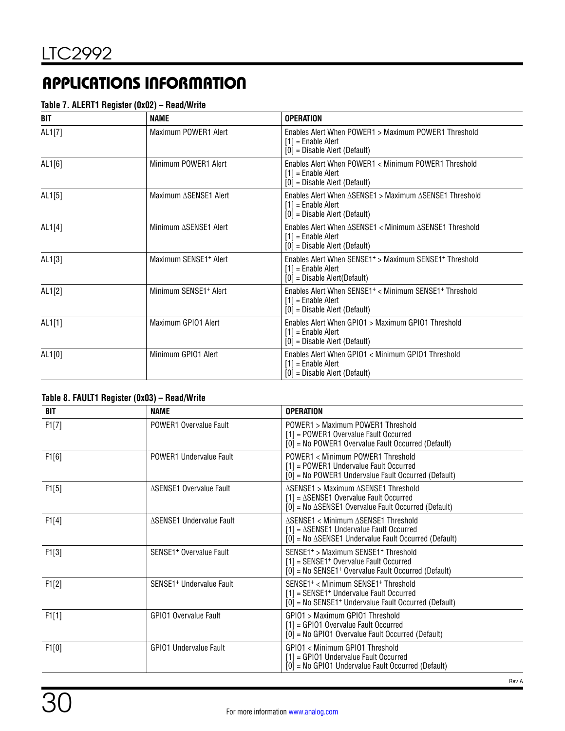#### **Table 7. ALERT1 Register (0x02) – Read/Write**

| BIT    | <b>NAME</b>                       | <b>OPERATION</b>                                                                                                                          |
|--------|-----------------------------------|-------------------------------------------------------------------------------------------------------------------------------------------|
| AL1[7] | Maximum POWER1 Alert              | Enables Alert When POWER1 > Maximum POWER1 Threshold<br>$[1]$ = Enable Alert<br>$[0]$ = Disable Alert (Default)                           |
| AL1[6] | Minimum POWER1 Alert              | Enables Alert When POWER1 < Minimum POWER1 Threshold<br>$[1]$ = Enable Alert<br>$[0]$ = Disable Alert (Default)                           |
| AL1[5] | Maximum ASENSE1 Alert             | Enables Alert When ΔSENSE1 > Maximum ΔSENSE1 Threshold<br>$[1]$ = Enable Alert<br>$[0]$ = Disable Alert (Default)                         |
| AL1[4] | Minimum ASENSE1 Alert             | Enables Alert When ΔSENSE1 < Minimum ΔSENSE1 Threshold<br>$[1]$ = Enable Alert<br>$[0]$ = Disable Alert (Default)                         |
| AL1[3] | Maximum SENSE1 <sup>+</sup> Alert | Enables Alert When SENSE1 <sup>+</sup> > Maximum SENSE1 <sup>+</sup> Threshold<br>$[1]$ = Enable Alert<br>[0] = Disable Alert(Default)    |
| AL1[2] | Minimum SENSE1 <sup>+</sup> Alert | Enables Alert When SENSE1 <sup>+</sup> < Minimum SENSE1 <sup>+</sup> Threshold<br>$[1]$ = Enable Alert<br>$[0]$ = Disable Alert (Default) |
| AL1[1] | Maximum GPI01 Alert               | Enables Alert When GPIO1 > Maximum GPIO1 Threshold<br>$[1]$ = Enable Alert<br>$[0]$ = Disable Alert (Default)                             |
| AL1[0] | Minimum GPI01 Alert               | Enables Alert When GPIO1 < Minimum GPIO1 Threshold<br>$[1]$ = Enable Alert<br>$[0]$ = Disable Alert (Default)                             |

#### **Table 8. FAULT1 Register (0x03) – Read/Write**

| BIT   | <b>NAME</b>                          | <b>OPERATION</b>                                                                                                                                                                       |
|-------|--------------------------------------|----------------------------------------------------------------------------------------------------------------------------------------------------------------------------------------|
| F1[7] | POWER1 Overvalue Fault               | POWER1 > Maximum POWER1 Threshold<br>[1] = POWER1 Overvalue Fault Occurred<br>[0] = No POWER1 Overvalue Fault Occurred (Default)                                                       |
| F1[6] | POWER1 Undervalue Fault              | POWER1 < Minimum POWER1 Threshold<br>[1] = POWER1 Undervalue Fault Occurred<br>[0] = No POWER1 Undervalue Fault Occurred (Default)                                                     |
| F1[5] | ∆SENSE1 Overvalue Fault              | ASENSE1 > Maximum ASENSE1 Threshold<br>$[1] = \Delta$ SENSE1 Overvalue Fault Occurred<br>$[0]$ = No $\triangle$ SENSE1 Overvalue Fault Occurred (Default)                              |
| F1[4] | ∆SENSE1 Undervalue Fault             | ∆SENSE1 < Minimum ∆SENSE1 Threshold<br>$[1] = \Delta$ SENSE1 Undervalue Fault Occurred<br>$[0]$ = No $\triangle$ SENSE1 Undervalue Fault Occurred (Default)                            |
| F1[3] | SENSE1 <sup>+</sup> Overvalue Fault  | SENSE1 <sup>+</sup> > Maximum SENSE1 <sup>+</sup> Threshold<br>[1] = SENSE1 <sup>+</sup> Overvalue Fault Occurred<br>[0] = No SENSE1 <sup>+</sup> Overvalue Fault Occurred (Default)   |
| F1[2] | SENSE1 <sup>+</sup> Undervalue Fault | SENSE1 <sup>+</sup> < Minimum SENSE1 <sup>+</sup> Threshold<br>[1] = SENSE1 <sup>+</sup> Undervalue Fault Occurred<br>[0] = No SENSE1 <sup>+</sup> Undervalue Fault Occurred (Default) |
| F1[1] | <b>GPIO1 Overvalue Fault</b>         | GPIO1 > Maximum GPIO1 Threshold<br>[1] = GPIO1 Overvalue Fault Occurred<br>[0] = No GPIO1 Overvalue Fault Occurred (Default)                                                           |
| F1[0] | <b>GPIO1 Undervalue Fault</b>        | GPIO1 < Minimum GPIO1 Threshold<br>[1] = GPIO1 Undervalue Fault Occurred<br>[0] = No GPIO1 Undervalue Fault Occurred (Default)                                                         |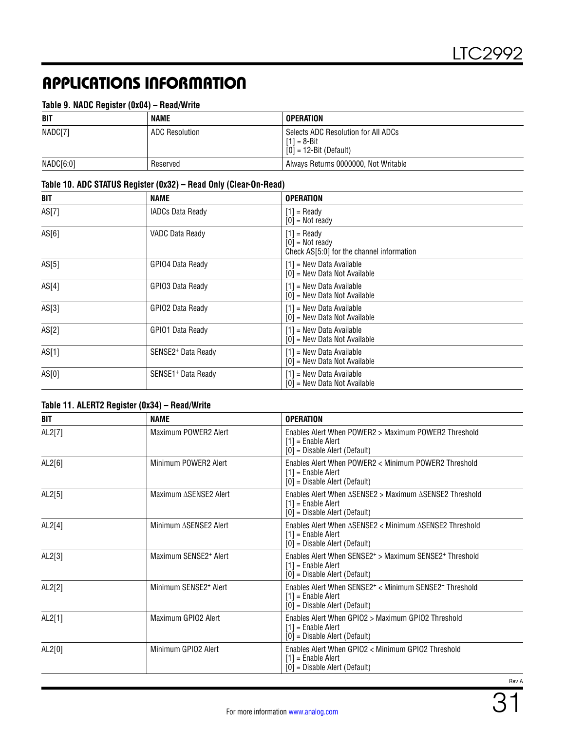#### **Table 9. NADC Register (0x04) – Read/Write**

| <b>BIT</b> | NAME           | <b>OPERATION</b>                                                                   |
|------------|----------------|------------------------------------------------------------------------------------|
| NADC[7]    | ADC Resolution | Selects ADC Resolution for All ADCs<br>$[1] = 8 - Bit$<br>$[0] = 12-Bit$ (Default) |
| NADC[6:0]  | Reserved       | Always Returns 0000000, Not Writable                                               |

#### **Table 10. ADC STATUS Register (0x32) – Read Only (Clear-On-Read)**

| BIT   | <b>NAME</b>                    | <b>OPERATION</b>                                                                |
|-------|--------------------------------|---------------------------------------------------------------------------------|
| AS[7] | <b>IADCs Data Ready</b>        | $[1]$ = Ready<br>$[0]$ = Not ready                                              |
| AS[6] | VADC Data Ready                | $[1]$ = Ready<br>$[0]$ = Not ready<br>Check AS[5:0] for the channel information |
| AS[5] | GPIO4 Data Ready               | $[1]$ = New Data Available<br>[0] = New Data Not Available                      |
| AS[4] | GPIO3 Data Ready               | $[1]$ = New Data Available<br>[0] = New Data Not Available                      |
| AS[3] | GPIO2 Data Ready               | $[1]$ = New Data Available<br>[0] = New Data Not Available                      |
| AS[2] | GPIO1 Data Ready               | $[1]$ = New Data Available<br>[0] = New Data Not Available                      |
| AS[1] | SENSE2 <sup>+</sup> Data Ready | $[1]$ = New Data Available<br>[0] = New Data Not Available                      |
| AS[0] | SENSE1 <sup>+</sup> Data Ready | $[1]$ = New Data Available<br>[0] = New Data Not Available                      |

#### **Table 11. ALERT2 Register (0x34) – Read/Write**

| BIT    | <b>NAME</b>                       | <b>OPERATION</b>                                                                                                                        |
|--------|-----------------------------------|-----------------------------------------------------------------------------------------------------------------------------------------|
| AL2[7] | Maximum POWER2 Alert              | Fnables Alert When POWFR2 > Maximum POWFR2 Threshold<br>$[1]$ = Enable Alert<br>$[0]$ = Disable Alert (Default)                         |
| AL2[6] | Minimum POWER2 Alert              | Enables Alert When POWER2 < Minimum POWER2 Threshold<br>$[1]$ = Enable Alert<br>$[0]$ = Disable Alert (Default)                         |
| AL2[5] | Maximum ASENSE2 Alert             | Enables Alert When ASENSE2 > Maximum ASENSE2 Threshold<br>$[1]$ = Enable Alert<br>$[0]$ = Disable Alert (Default)                       |
| AL2[4] | Minimum ASENSE2 Alert             | Enables Alert When $\triangle$ SENSE2 < Minimum $\triangle$ SENSE2 Threshold<br>$[1]$ = Enable Alert<br>$[0]$ = Disable Alert (Default) |
| AL2[3] | Maximum SENSE2 <sup>+</sup> Alert | Enables Alert When SENSE2 <sup>+</sup> > Maximum SENSE2 <sup>+</sup> Threshold<br>$[1]$ = Enable Alert<br>[0] = Disable Alert (Default) |
| AL2[2] | Minimum SENSE2 <sup>+</sup> Alert | Enables Alert When SENSE2 <sup>+</sup> < Minimum SENSE2 <sup>+</sup> Threshold<br>$[1]$ = Enable Alert<br>[0] = Disable Alert (Default) |
| AL2[1] | Maximum GPIO2 Alert               | Enables Alert When GPIO2 > Maximum GPIO2 Threshold<br>$[1]$ = Enable Alert<br>$[0]$ = Disable Alert (Default)                           |
| AL2[0] | Minimum GPIO2 Alert               | Enables Alert When GPIO2 < Minimum GPIO2 Threshold<br>$[1]$ = Enable Alert<br>$[0]$ = Disable Alert (Default)                           |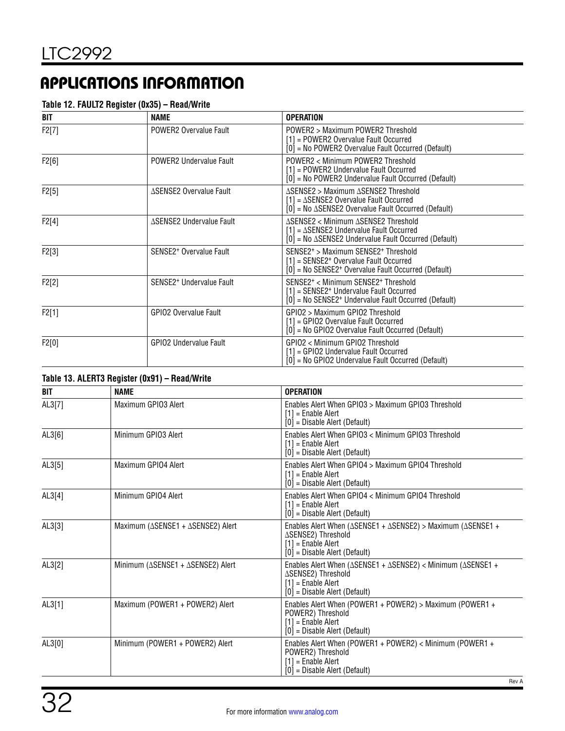#### **Table 12. FAULT2 Register (0x35) – Read/Write**

| BIT   | <b>NAME</b>                          | <b>OPERATION</b>                                                                                                                                                                       |
|-------|--------------------------------------|----------------------------------------------------------------------------------------------------------------------------------------------------------------------------------------|
| F2[7] | POWER2 Overvalue Fault               | POWER2 > Maximum POWER2 Threshold<br>$[1]$ = POWER2 Overvalue Fault Occurred<br>[0] = No POWER2 Overvalue Fault Occurred (Default)                                                     |
| F2[6] | <b>POWER2 Undervalue Fault</b>       | POWER2 < Minimum POWER2 Threshold<br>[1] = POWER2 Undervalue Fault Occurred<br>$[0]$ = No POWER2 Undervalue Fault Occurred (Default)                                                   |
| F2[5] | <b>ASENSE2 Overvalue Fault</b>       | ΔSENSE2 > Maximum ΔSENSE2 Threshold<br>$[1] = \Delta$ SENSE2 Overvalue Fault Occurred<br>$[0]$ = No $\triangle$ SENSE2 Overvalue Fault Occurred (Default)                              |
| F2[4] | ∆SENSE2 Undervalue Fault             | ∆SENSE2 < Minimum ∆SENSE2 Threshold<br>$[1] = \Delta$ SENSE2 Undervalue Fault Occurred<br>$[0]$ = No $\triangle$ SENSE2 Undervalue Fault Occurred (Default)                            |
| F2[3] | SENSE2 <sup>+</sup> Overvalue Fault  | SENSE2 <sup>+</sup> > Maximum SENSE2 <sup>+</sup> Threshold<br>[1] = SENSE2 <sup>+</sup> Overvalue Fault Occurred<br>[0] = No SENSE2 <sup>+</sup> Overvalue Fault Occurred (Default)   |
| F2[2] | SENSE2 <sup>+</sup> Undervalue Fault | SENSE2 <sup>+</sup> < Minimum SENSE2 <sup>+</sup> Threshold<br>[1] = SENSE2 <sup>+</sup> Undervalue Fault Occurred<br>[0] = No SENSE2 <sup>+</sup> Undervalue Fault Occurred (Default) |
| F2[1] | GPIO2 Overvalue Fault                | GPIO2 > Maximum GPIO2 Threshold<br>[1] = GPIO2 Overvalue Fault Occurred<br>[0] = No GPIO2 Overvalue Fault Occurred (Default)                                                           |
| F2[0] | <b>GPIO2 Undervalue Fault</b>        | GPIO2 < Minimum GPIO2 Threshold<br>[1] = GPIO2 Undervalue Fault Occurred<br>$[0]$ = No GPIO2 Undervalue Fault Occurred (Default)                                                       |

| Table 13. ALERT3 Register (0x91) - Read/Write |                                                          |                                                                                                                                                                                 |  |
|-----------------------------------------------|----------------------------------------------------------|---------------------------------------------------------------------------------------------------------------------------------------------------------------------------------|--|
| <b>BIT</b>                                    | <b>NAME</b>                                              | <b>OPERATION</b>                                                                                                                                                                |  |
| AL3[7]                                        | Maximum GPI03 Alert                                      | Enables Alert When GPIO3 > Maximum GPIO3 Threshold<br>$[1]$ = Enable Alert<br>$[0]$ = Disable Alert (Default)                                                                   |  |
| AL3[6]                                        | Minimum GPI03 Alert                                      | Enables Alert When GPI03 < Minimum GPI03 Threshold<br>$[1]$ = Enable Alert<br>$[0]$ = Disable Alert (Default)                                                                   |  |
| AL3[5]                                        | Maximum GPI04 Alert                                      | Enables Alert When GPIO4 > Maximum GPIO4 Threshold<br>$[1]$ = Enable Alert<br>$[0]$ = Disable Alert (Default)                                                                   |  |
| AL3[4]                                        | Minimum GPI04 Alert                                      | Enables Alert When GPIO4 < Minimum GPIO4 Threshold<br>$[1]$ = Enable Alert<br>$[0]$ = Disable Alert (Default)                                                                   |  |
| AL3[3]                                        | Maximum (∆SENSE1 + ∆SENSE2) Alert                        | Enables Alert When ( $\triangle$ SENSE1 + $\triangle$ SENSE2) > Maximum ( $\triangle$ SENSE1 +<br>∆SENSE2) Threshold<br>$[1]$ = Enable Alert<br>$[0]$ = Disable Alert (Default) |  |
| AL3[2]                                        | Minimum ( $\triangle$ SENSE1 + $\triangle$ SENSE2) Alert | Enables Alert When ( $\triangle$ SENSE1 + $\triangle$ SENSE2) < Minimum ( $\triangle$ SENSE1 +<br>∆SENSE2) Threshold<br>$[1]$ = Enable Alert<br>$[0]$ = Disable Alert (Default) |  |
| AL3[1]                                        | Maximum (POWER1 + POWER2) Alert                          | Enables Alert When (POWER1 + POWER2) > Maximum (POWER1 +<br>POWER2) Threshold<br>$[1]$ = Enable Alert<br>$[0]$ = Disable Alert (Default)                                        |  |
| AL3[0]                                        | Minimum (POWER1 + POWER2) Alert                          | Enables Alert When (POWER1 + POWER2) < Minimum (POWER1 +<br>POWER2) Threshold<br>$[1]$ = Enable Alert<br>$[0]$ = Disable Alert (Default)                                        |  |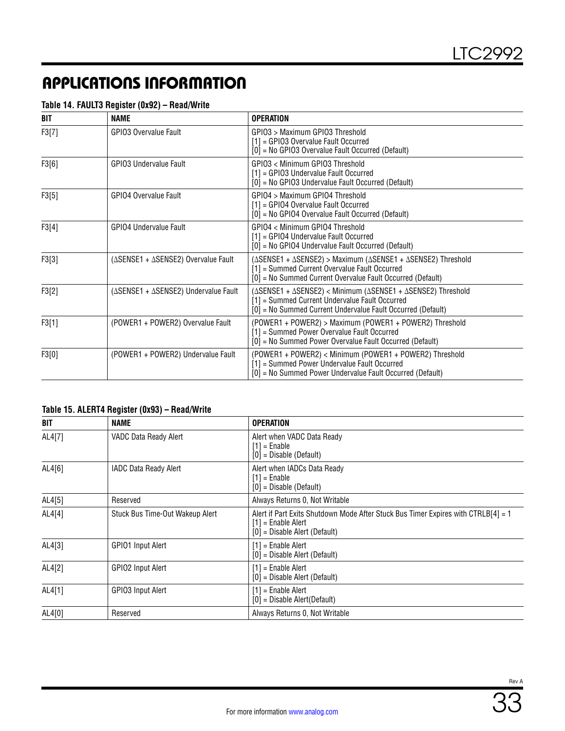#### **Table 14. FAULT3 Register (0x92) – Read/Write**

| BIT   | <b>NAME</b>                                                | <b>OPERATION</b>                                                                                                                                                             |
|-------|------------------------------------------------------------|------------------------------------------------------------------------------------------------------------------------------------------------------------------------------|
| F3[7] | GPIO3 Overvalue Fault                                      | GPIO3 > Maximum GPIO3 Threshold<br>[1] = GPIO3 Overvalue Fault Occurred<br>[0] = No GPIO3 Overvalue Fault Occurred (Default)                                                 |
| F3[6] | <b>GPIO3 Undervalue Fault</b>                              | GPIO3 < Minimum GPIO3 Threshold<br>$[1]$ = GPIO3 Undervalue Fault Occurred<br>[0] = No GPIO3 Undervalue Fault Occurred (Default)                                             |
| F3[5] | <b>GPIO4 Overvalue Fault</b>                               | GPI04 > Maximum GPI04 Threshold<br>$[1]$ = GPIO4 Overvalue Fault Occurred<br>[0] = No GPIO4 Overvalue Fault Occurred (Default)                                               |
| F3[4] | <b>GPIO4 Undervalue Fault</b>                              | GPI04 < Minimum GPI04 Threshold<br>$[1]$ = GPIO4 Undervalue Fault Occurred<br>[0] = No GPIO4 Undervalue Fault Occurred (Default)                                             |
| F3[3] | ( $\triangle$ SENSE1 + $\triangle$ SENSE2) Overvalue Fault | (ΔSENSE1 + ΔSENSE2) > Maximum (ΔSENSE1 + ΔSENSE2) Threshold<br>[1] = Summed Current Overvalue Fault Occurred<br>[0] = No Summed Current Overvalue Fault Occurred (Default)   |
| F3[2] | (ASENSE1 + ASENSE2) Undervalue Fault                       | (ΔSENSE1 + ΔSENSE2) < Minimum (ΔSENSE1 + ΔSENSE2) Threshold<br>[1] = Summed Current Undervalue Fault Occurred<br>[0] = No Summed Current Undervalue Fault Occurred (Default) |
| F3[1] | (POWER1 + POWER2) Overvalue Fault                          | (POWER1 + POWER2) > Maximum (POWER1 + POWER2) Threshold<br>[1] = Summed Power Overvalue Fault Occurred<br>[0] = No Summed Power Overvalue Fault Occurred (Default)           |
| F3[0] | (POWER1 + POWER2) Undervalue Fault                         | (POWER1 + POWER2) < Minimum (POWER1 + POWER2) Threshold<br>[1] = Summed Power Undervalue Fault Occurred<br>[0] = No Summed Power Undervalue Fault Occurred (Default)         |

#### **Table 15. ALERT4 Register (0x93) – Read/Write**

| BIT    | <b>NAME</b>                     | <b>OPERATION</b>                                                                                                                             |
|--------|---------------------------------|----------------------------------------------------------------------------------------------------------------------------------------------|
| AL4[7] | VADC Data Ready Alert           | Alert when VADC Data Ready<br>$[1] =$ Enable<br>$[0]$ = Disable (Default)                                                                    |
| AL4[6] | IADC Data Ready Alert           | Alert when IADCs Data Ready<br>$[1]$ = Enable<br>$[0]$ = Disable (Default)                                                                   |
| AL4[5] | Reserved                        | Always Returns 0, Not Writable                                                                                                               |
| AL4[4] | Stuck Bus Time-Out Wakeup Alert | Alert if Part Exits Shutdown Mode After Stuck Bus Timer Expires with CTRLB[4] = 1<br>$[1]$ = Enable Alert<br>$[0]$ = Disable Alert (Default) |
| AL4[3] | GPIO1 Input Alert               | $[1]$ = Enable Alert<br>$[0]$ = Disable Alert (Default)                                                                                      |
| AL4[2] | GPIO2 Input Alert               | $[1]$ = Enable Alert<br>$[0]$ = Disable Alert (Default)                                                                                      |
| AL4[1] | GPIO3 Input Alert               | $[1]$ = Enable Alert<br>$[0]$ = Disable Alert(Default)                                                                                       |
| AL4[0] | Reserved                        | Always Returns 0, Not Writable                                                                                                               |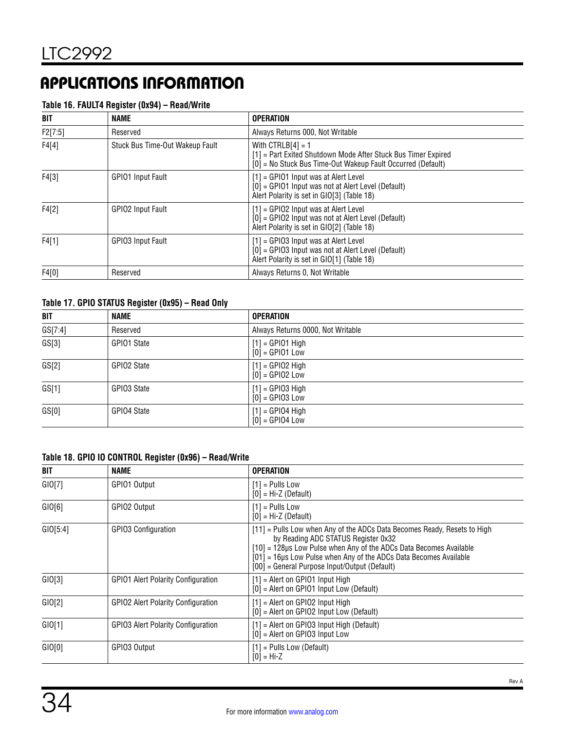#### **Table 16. FAULT4 Register (0x94) – Read/Write**

| BIT     | NAME                            | <b>OPERATION</b>                                                                                                                                    |
|---------|---------------------------------|-----------------------------------------------------------------------------------------------------------------------------------------------------|
| F2[7:5] | Reserved                        | Always Returns 000, Not Writable                                                                                                                    |
| F4[4]   | Stuck Bus Time-Out Wakeup Fault | With $CTRLB[4] = 1$<br>[1] = Part Exited Shutdown Mode After Stuck Bus Timer Expired<br>[0] = No Stuck Bus Time-Out Wakeup Fault Occurred (Default) |
| F4[3]   | GPIO1 Input Fault               | $[1]$ = GPIO1 Input was at Alert Level<br>[0] = GPIO1 Input was not at Alert Level (Default)<br>Alert Polarity is set in GIO[3] (Table 18)          |
| F4[2]   | GPIO2 Input Fault               | $[1]$ = GPIO2 Input was at Alert Level<br>$[0]$ = GPIO2 Input was not at Alert Level (Default)<br>Alert Polarity is set in GIO[2] (Table 18)        |
| F4[1]   | GPIO3 Input Fault               | $[1]$ = GPIO3 Input was at Alert Level<br>$[0]$ = GPIO3 Input was not at Alert Level (Default)<br>Alert Polarity is set in GIO[1] (Table 18)        |
| F4[0]   | Reserved                        | Always Returns 0, Not Writable                                                                                                                      |

#### **Table 17. GPIO STATUS Register (0x95) – Read Only**

| <b>BIT</b> | <b>NAME</b> | <b>OPERATION</b>                        |
|------------|-------------|-----------------------------------------|
| GS[7:4]    | Reserved    | Always Returns 0000, Not Writable       |
| GS[3]      | GPIO1 State | $[1]$ = GPI01 High<br>$[0]$ = GPI01 Low |
| GS[2]      | GPIO2 State | $[1]$ = GPIO2 High<br>$[0]$ = GPIO2 Low |
| GS[1]      | GPIO3 State | $[1] = GPIO3$ High<br>$[0]$ = GPIO3 Low |
| GS[0]      | GPIO4 State | $[1]$ = GPI04 High<br>$[0]$ = GPIO4 Low |

#### **Table 18. GPIO IO CONTROL Register (0x96) – Read/Write**

| BIT      | <b>NAME</b>                               | <b>OPERATION</b>                                                                                                                                                                                                                                                                                            |
|----------|-------------------------------------------|-------------------------------------------------------------------------------------------------------------------------------------------------------------------------------------------------------------------------------------------------------------------------------------------------------------|
| GIO[7]   | GPI01 Output                              | $[1]$ = Pulls Low<br>$[0]$ = Hi-Z (Default)                                                                                                                                                                                                                                                                 |
| GIO[6]   | GPIO2 Output                              | $[1]$ = Pulls Low<br>$[0]$ = Hi-Z (Default)                                                                                                                                                                                                                                                                 |
| GIO[5:4] | <b>GPIO3 Configuration</b>                | [11] = Pulls Low when Any of the ADCs Data Becomes Ready, Resets to High<br>by Reading ADC STATUS Register 0x32<br>[10] = 128µs Low Pulse when Any of the ADCs Data Becomes Available<br>[01] = 16µs Low Pulse when Any of the ADCs Data Becomes Available<br>[00] = General Purpose Input/Output (Default) |
| GIO[3]   | <b>GPIO1 Alert Polarity Configuration</b> | $[1]$ = Alert on GPIO1 Input High<br>$[0]$ = Alert on GPIO1 Input Low (Default)                                                                                                                                                                                                                             |
| GIO[2]   | <b>GPIO2 Alert Polarity Configuration</b> | $[1]$ = Alert on GPIO2 Input High<br>[0] = Alert on GPIO2 Input Low (Default)                                                                                                                                                                                                                               |
| GIO[1]   | <b>GPIO3 Alert Polarity Configuration</b> | $[1]$ = Alert on GPIO3 Input High (Default)<br>$[0]$ = Alert on GPIO3 Input Low                                                                                                                                                                                                                             |
| GIO[0]   | GPI03 Output                              | $[1]$ = Pulls Low (Default)<br>$[0] = Hi-Z$                                                                                                                                                                                                                                                                 |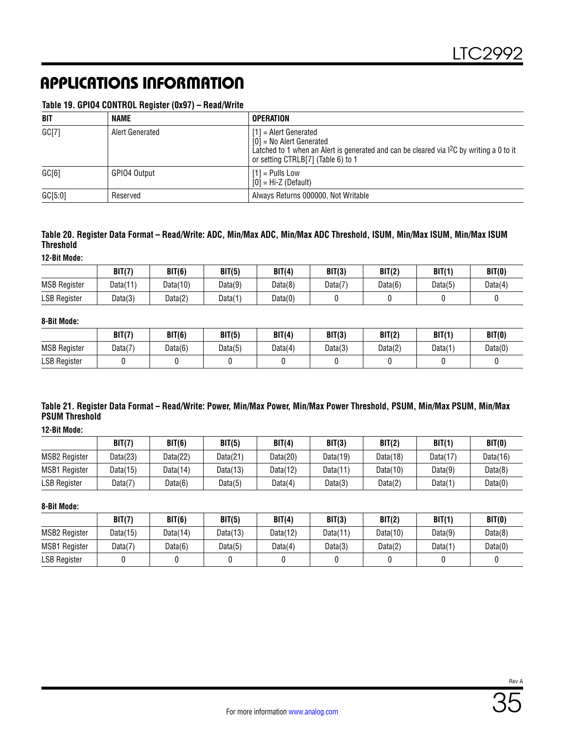#### **Table 19. GPIO4 CONTROL Register (0x97) – Read/Write**

| <b>BIT</b> | <b>NAME</b>     | <b>OPERATION</b>                                                                                                                                                                                    |
|------------|-----------------|-----------------------------------------------------------------------------------------------------------------------------------------------------------------------------------------------------|
| GCI7       | Alert Generated | $[1]$ = Alert Generated<br>$[0]$ = No Alert Generated<br>Latched to 1 when an Alert is generated and can be cleared via I <sup>2</sup> C by writing a 0 to it<br>or setting CTRLB[7] (Table 6) to 1 |
| GCI6       | GPIO4 Output    | $[1]$ = Pulls Low<br>$[0]$ = Hi-Z (Default)                                                                                                                                                         |
| GC[5:0]    | Reserved        | Always Returns 000000, Not Writable                                                                                                                                                                 |

#### **Table 20. Register Data Format – Read/Write: ADC, Min/Max ADC, Min/Max ADC Threshold, ISUM, Min/Max ISUM, Min/Max ISUM Threshold**

**12-Bit Mode:**

|                     | BIT(7)   | BIT(6)   | BIT(5)  | BIT(4)  | BIT(3)  | BIT(2)  | BIT(1)  | BIT(0)  |
|---------------------|----------|----------|---------|---------|---------|---------|---------|---------|
| <b>MSB Register</b> | Data(11) | Data(10) | Data(9) | Data(8) | Data(7) | Data(6) | Data(5) | Data(4) |
| <b>LSB Register</b> | Data(3)  | Data(2)  | Data(1) | Data(0) |         |         |         |         |

#### **8-Bit Mode:**

|                     | BIT(7)  | BIT(6)  | BIT(5)  | BIT(4)  | BIT(3)  | BIT(2)  | BIT(1)  | BIT(0)  |
|---------------------|---------|---------|---------|---------|---------|---------|---------|---------|
| <b>MSB Register</b> | Data(7) | Data(6) | Data(5) | Data(4) | Data(3) | Data(2) | Data(1) | Data(0) |
| <b>LSB Register</b> |         |         |         |         |         |         |         |         |

#### **Table 21. Register Data Format – Read/Write: Power, Min/Max Power, Min/Max Power Threshold, PSUM, Min/Max PSUM, Min/Max PSUM Threshold**

**12-Bit Mode:**

|                      | BIT(7)   | BIT(6)      | BIT(5)   | BIT(4)      | BIT(3)      | BIT(2)      | BIT(1)   | BIT(0)   |
|----------------------|----------|-------------|----------|-------------|-------------|-------------|----------|----------|
| <b>MSB2 Register</b> | Data(23) | Data $(22)$ | Data(21) | Data(20)    | Data $(19)$ | Data(18)    | Data(17) | Data(16) |
| <b>MSB1 Register</b> | Data(15) | Data $(14)$ | Data(13) | Data $(12)$ | Data $(11)$ | Data $(10)$ | Data(9)  | Data(8)  |
| <b>LSB Register</b>  | Data(7)  | Data(6)     | Data(5)  | Data(4)     | Data(3)     | Data(2)     | Data(1)  | Data(0)  |

**8-Bit Mode:**

|                      | BIT(7)     | BIT(6)      | BIT(5)   | BIT(4)   | BIT(3)   | BIT(2)      | BIT(1)  | BIT(0)  |
|----------------------|------------|-------------|----------|----------|----------|-------------|---------|---------|
| <b>MSB2 Register</b> | Data(15)   | Data $(14)$ | Data(13) | Data(12) | Data(11) | Data $(10)$ | Data(9) | Data(8) |
| <b>MSB1 Register</b> | Data $(7)$ | Data(6)     | Data(5)  | Data(4)  | Data(3)  | Data(2)     | Data(1) | Data(0) |
| <b>LSB Register</b>  |            |             |          |          |          |             |         |         |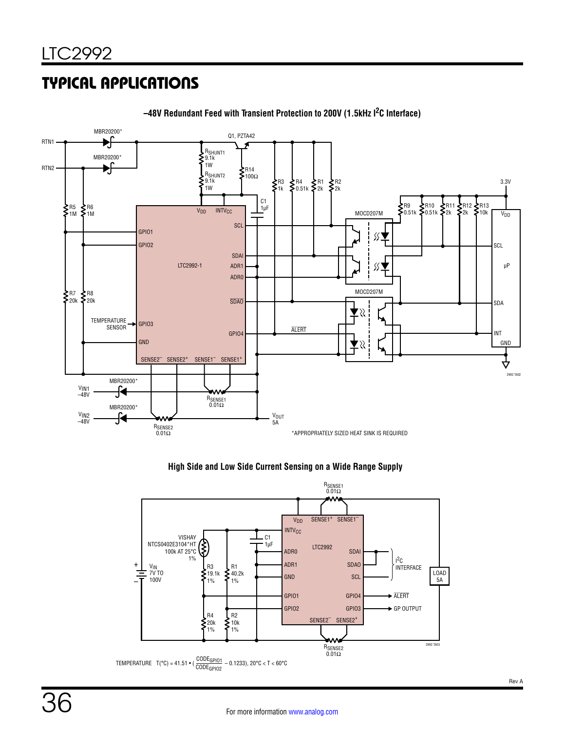

#### **–48V Redundant Feed with Transient Protection to 200V (1.5kHz I2C Interface)**

#### **High Side and Low Side Current Sensing on a Wide Range Supply**

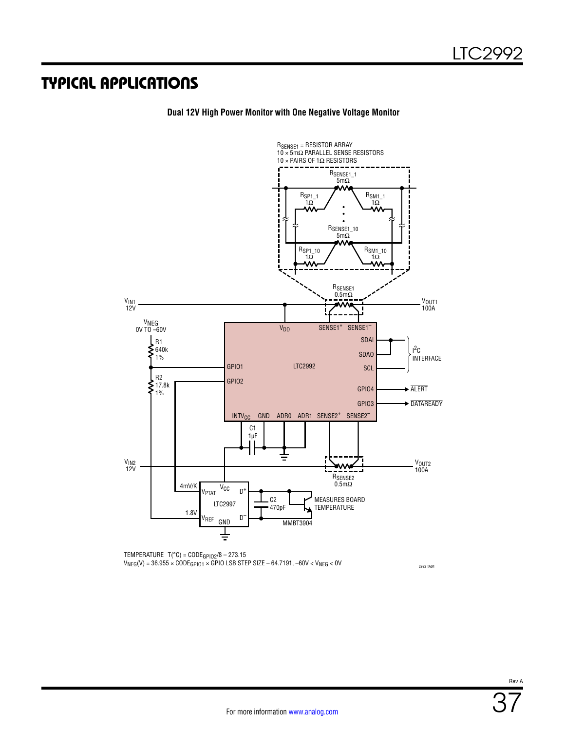

**Dual 12V High Power Monitor with One Negative Voltage Monitor**

TEMPERATURE T(°C) = CODEGPIO2/8 – 273.15  $V_{NEG}(V) = 36.955 \times \text{CODE}_{GPI01} \times \text{GPO}$  LSB STEP SIZE – 64.7191, –60V <  $V_{NEG}$  < 0V

2992 TA04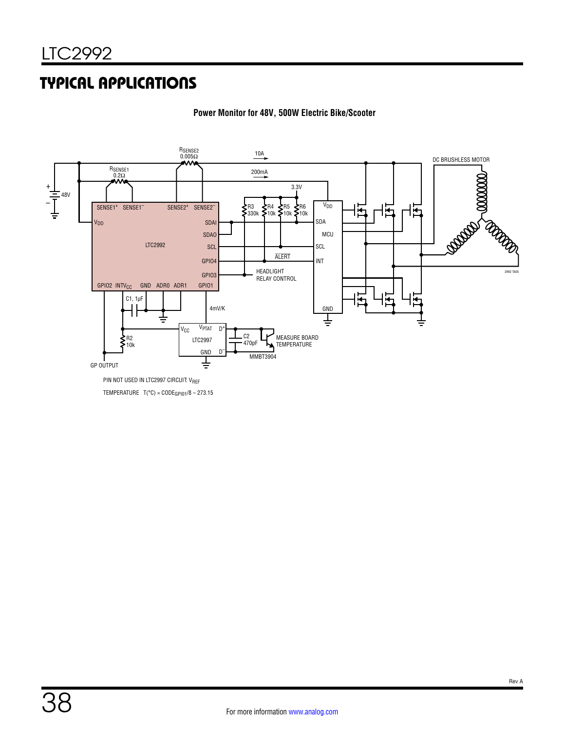

#### **Power Monitor for 48V, 500W Electric Bike/Scooter**

PIN NOT USED IN LTC2997 CIRCUIT: VREF

TEMPERATURE  $T("C) = CODE_{GP101}/8 - 273.15$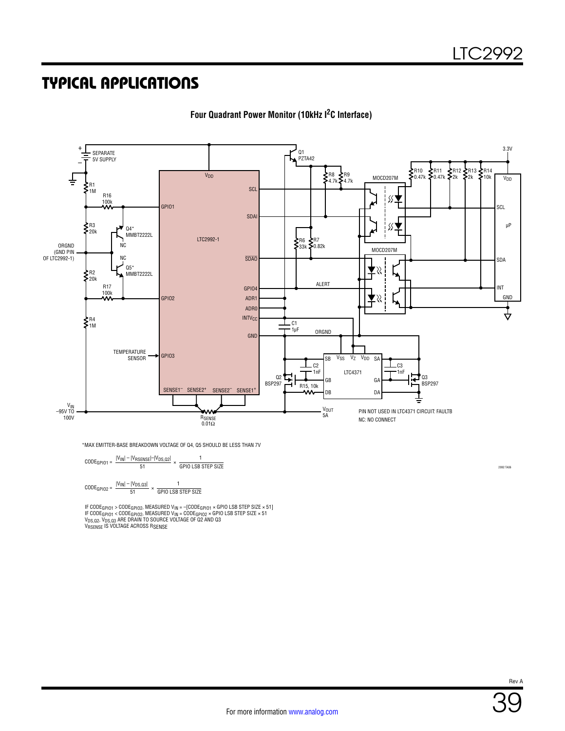

**Four Quadrant Power Monitor (10kHz I2C Interface)**

\*MAX EMITTER-BASE BREAKDOWN VOLTAGE OF Q4, Q5 SHOULD BE LESS THAN 7V

| $CODE_{GPIO1} =$ | $ V_{IN} $ – $ V_{RSENSE} $ – $ V_{DS, Q2} $<br>51 |                           | <b>GPIO LSB STEP SIZE</b> |  |
|------------------|----------------------------------------------------|---------------------------|---------------------------|--|
| $CODE_{GPIO2} =$ | $ V_{IN} $ – $ V_{DS,Q3} $<br>51                   | <b>GPIO LSB STEP SIZE</b> |                           |  |

IF CODE<sub>GPIO1</sub> > CODE<sub>GPIO2</sub>, MEASURED V<sub>IN</sub> = -{CODE<sub>GPIO1</sub> × GPIO LSB STEP SIZE × 51]<br>IF CODE<sub>G</sub>PIO1 < CODE<sub>GPIO2</sub>, MEASURED V<sub>IN</sub> = CODE<sub>GPIO2</sub> × GPIO LSB STEP SIZE × 51<br>V<sub>DS.02</sub>, V<sub>DS.03</sub> ARE DRAIN TO SOURCE VOLTAGE OF

2992 TA06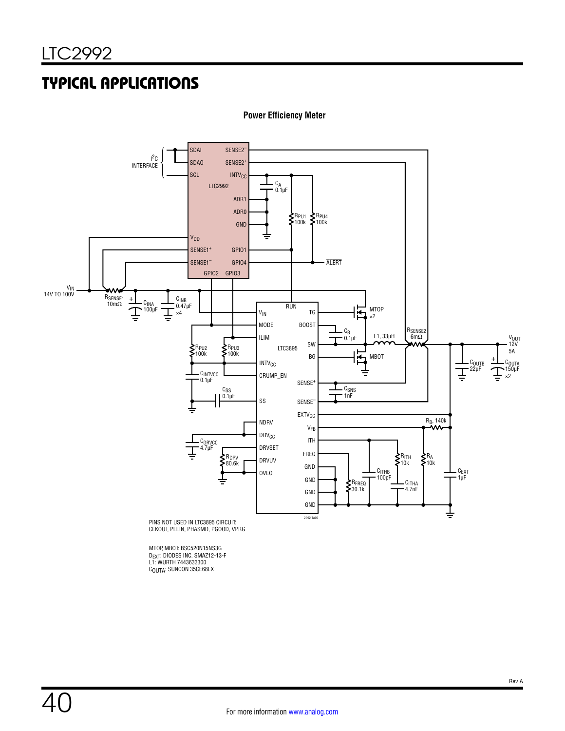

**Power Efficiency Meter**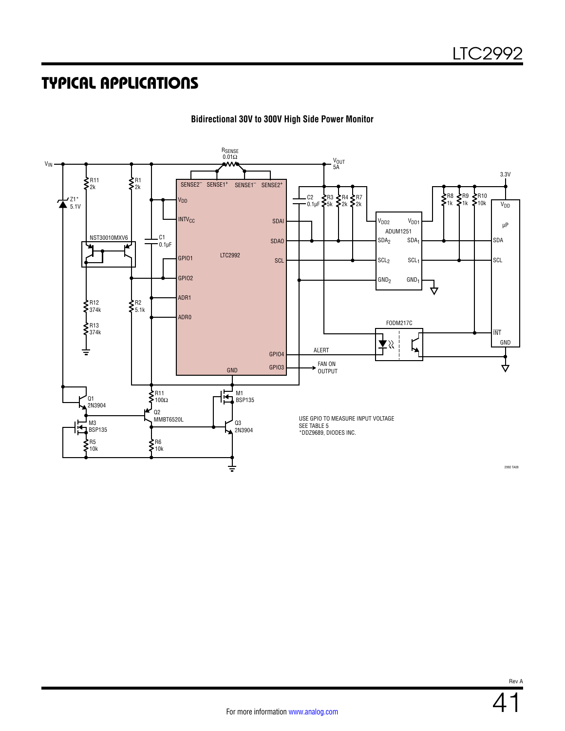

**Bidirectional 30V to 300V High Side Power Monitor**

Rev A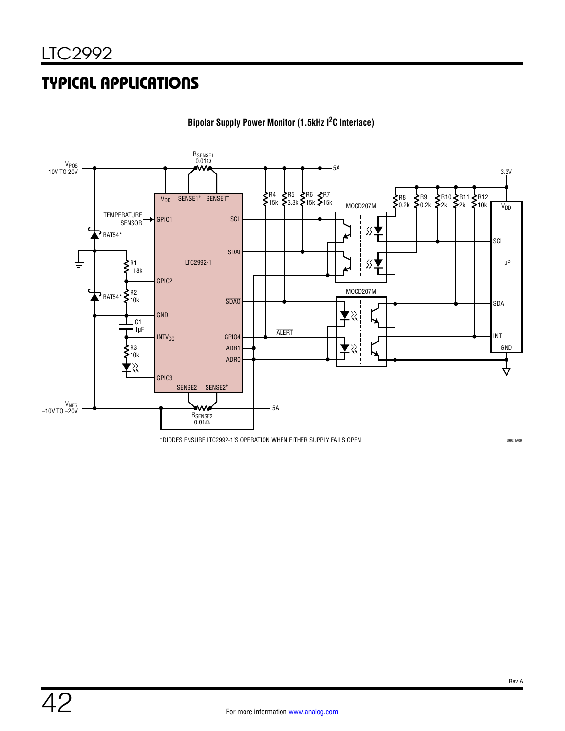

**Bipolar Supply Power Monitor (1.5kHz I2C Interface)**

\*DIODES ENSURE LTC2992-1'S OPERATION WHEN EITHER SUPPLY FAILS OPEN

2992 TA09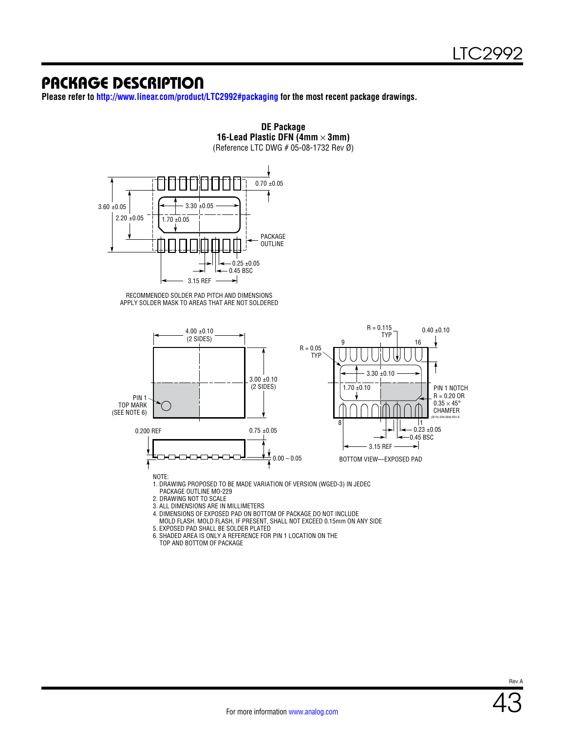#### PACKAGE DESCRIPTION

**Please refer to <http://www.linear.com/product/LTC2992#packaging>for the most recent package drawings.**



**DE Package**

5. EXPOSED PAD SHALL BE SOLDER PLATED 6. SHADED AREA IS ONLY A REFERENCE FOR PIN 1 LOCATION ON THE

TOP AND BOTTOM OF PACKAGE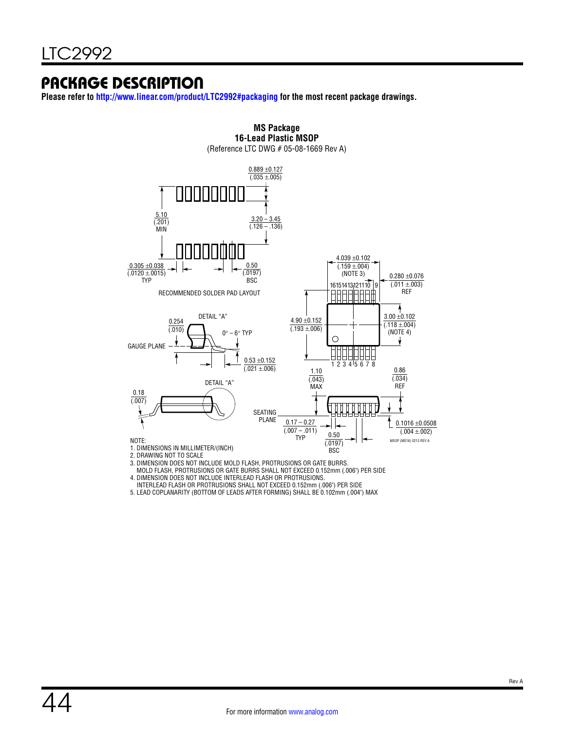### PACKAGE DESCRIPTION

**Please refer to<http://www.linear.com/product/LTC2992#packaging> for the most recent package drawings.**



MOLD FLASH, PROTRUSIONS OR GATE BURRS SHALL NOT EXCEED 0.152mm (.006") PER SIDE

4. DIMENSION DOES NOT INCLUDE INTERLEAD FLASH OR PROTRUSIONS.

INTERLEAD FLASH OR PROTRUSIONS SHALL NOT EXCEED 0.152mm (.006") PER SIDE

5. LEAD COPLANARITY (BOTTOM OF LEADS AFTER FORMING) SHALL BE 0.102mm (.004") MAX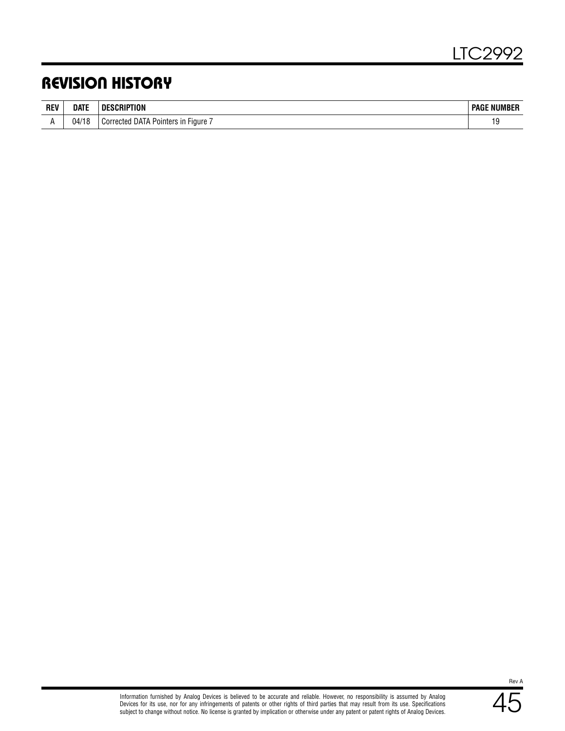### REVISION HISTORY

| <b>REV</b> | date  | DE.<br>TION                                    | : NUMBER<br><b>PAGF</b> |
|------------|-------|------------------------------------------------|-------------------------|
|            | 04/18 | DAIA<br>'orrected<br>Fiaure<br>Pointers<br>uui | ں ו                     |

45 Rev A